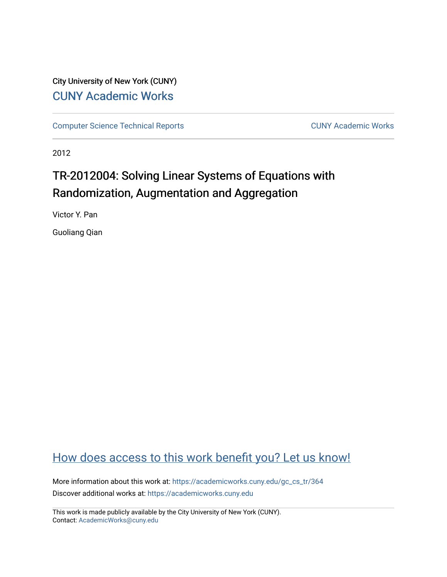## City University of New York (CUNY) [CUNY Academic Works](https://academicworks.cuny.edu/)

[Computer Science Technical Reports](https://academicworks.cuny.edu/gc_cs_tr) **CUNY Academic Works** CUNY Academic Works

2012

# TR-2012004: Solving Linear Systems of Equations with Randomization, Augmentation and Aggregation

Victor Y. Pan

Guoliang Qian

## [How does access to this work benefit you? Let us know!](http://ols.cuny.edu/academicworks/?ref=https://academicworks.cuny.edu/gc_cs_tr/364)

More information about this work at: [https://academicworks.cuny.edu/gc\\_cs\\_tr/364](https://academicworks.cuny.edu/gc_cs_tr/364)  Discover additional works at: [https://academicworks.cuny.edu](https://academicworks.cuny.edu/?)

This work is made publicly available by the City University of New York (CUNY). Contact: [AcademicWorks@cuny.edu](mailto:AcademicWorks@cuny.edu)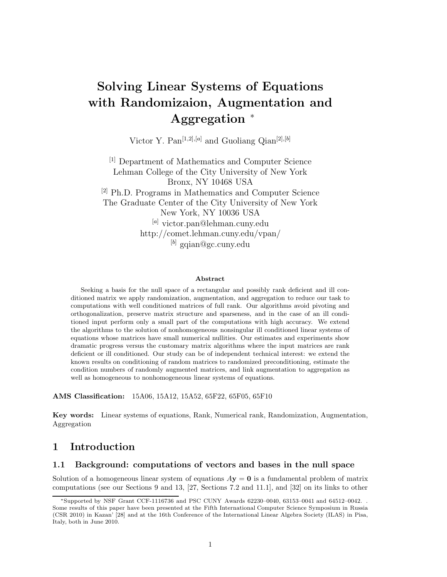# **Solving Linear Systems of Equations with Randomizaion, Augmentation and Aggregation** <sup>∗</sup>

Victor Y. Pan<sup>[1,2]*,*[ $a$ ]</sup> and Guoliang Qian<sup>[2]*,*[ $b$ ]</sup>

[1] Department of Mathematics and Computer Science Lehman College of the City University of New York Bronx, NY 10468 USA [2] Ph.D. Programs in Mathematics and Computer Science The Graduate Center of the City University of New York New York, NY 10036 USA [*a*] victor.pan@lehman.cuny.edu http://comet.lehman.cuny.edu/vpan/ [*b*] gqian@gc.cuny.edu

#### **Abstract**

Seeking a basis for the null space of a rectangular and possibly rank deficient and ill conditioned matrix we apply randomization, augmentation, and aggregation to reduce our task to computations with well conditioned matrices of full rank. Our algorithms avoid pivoting and orthogonalization, preserve matrix structure and sparseness, and in the case of an ill conditioned input perform only a small part of the computations with high accuracy. We extend the algorithms to the solution of nonhomogeneous nonsingular ill conditioned linear systems of equations whose matrices have small numerical nullities. Our estimates and experiments show dramatic progress versus the customary matrix algorithms where the input matrices are rank deficient or ill conditioned. Our study can be of independent technical interest: we extend the known results on conditioning of random matrices to randomized preconditioning, estimate the condition numbers of randomly augmented matrices, and link augmentation to aggregation as well as homogeneous to nonhomogeneous linear systems of equations.

**AMS Classification:** 15A06, 15A12, 15A52, 65F22, 65F05, 65F10

**Key words:** Linear systems of equations, Rank, Numerical rank, Randomization, Augmentation, Aggregation

### **1 Introduction**

### **1.1 Background: computations of vectors and bases in the null space**

Solution of a homogeneous linear system of equations  $A$ **y** = **0** is a fundamental problem of matrix computations (see our Sections 9 and 13, [27, Sections 7.2 and 11.1], and [32] on its links to other

<sup>∗</sup>Supported by NSF Grant CCF-1116736 and PSC CUNY Awards 62230–0040, 63153–0041 and 64512–0042. . Some results of this paper have been presented at the Fifth International Computer Science Symposium in Russia (CSR 2010) in Kazan' [28] and at the 16th Conference of the International Linear Algebra Society (ILAS) in Pisa, Italy, both in June 2010.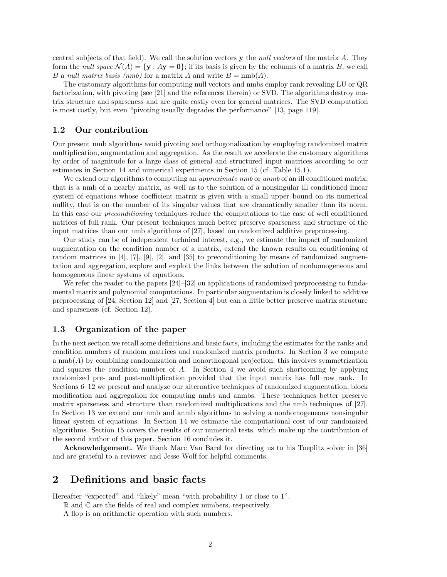central subjects of that field). We call the solution vectors **y** the *null vectors* of the matrix *A*. They form the *null space*  $\mathcal{N}(A) = \{ \mathbf{y} : A\mathbf{y} = \mathbf{0} \}$ ; if its basis is given by the columns of a matrix *B*, we call *B* a *null matrix basis (nmb)* for a matrix *A* and write  $B = \text{nmb}(A)$ .

The customary algorithms for computing null vectors and nmbs employ rank revealing LU or QR factorization, with pivoting (see [21] and the references therein) or SVD. The algorithms destroy matrix structure and sparseness and are quite costly even for general matrices. The SVD computation is most costly, but even "pivoting usually degrades the performance" [13, page 119].

### **1.2 Our contribution**

Our present nmb algorithms avoid pivoting and orthogonalization by employing randomized matrix multiplication, augmentation and aggregation. As the result we accelerate the customary algorithms by order of magnitude for a large class of general and structured input matrices according to our estimates in Section 14 and numerical experiments in Section 15 (cf. Table 15.1).

We extend our algorithms to computing an *approximate nmb* or *anmb* of an ill conditioned matrix, that is a nmb of a nearby matrix, as well as to the solution of a nonsingular ill conditioned linear system of equations whose coefficient matrix is given with a small upper bound on its numerical nullity, that is on the number of its singular values that are dramatically smaller than its norm. In this case our *preconditioning* techniques reduce the computations to the case of well conditioned natrices of full rank. Our present techniques much better preserve sparseness and structure of the input matrices than our nmb algorithms of [27], based on randomized additive preprocessing.

Our study can be of independent technical interest, e.g., we estimate the impact of randomized augmentation on the condition number of a matrix, extend the known results on conditioning of random matrices in [4], [7], [9], [2], and [35] to preconditioning by means of randomized augmentation and aggregation, explore and exploit the links between the solution of nonhomogeneous and homogeneous linear systems of equations.

We refer the reader to the papers  $[24]-[32]$  on applications of randomized preprocessing to fundamental matrix and polynomial computations. In particular augmentation is closely linked to additive preprocessing of [24, Section 12] and [27, Section 4] but can a little better preserve matrix structure and sparseness (cf. Section 12).

### **1.3 Organization of the paper**

In the next section we recall some definitions and basic facts, including the estimates for the ranks and condition numbers of random matrices and randomized matrix products. In Section 3 we compute a  $\text{nmb}(A)$  by combining randomization and nonorthogonal projection; this involves symmetrization and squares the condition number of *A*. In Section 4 we avoid such shortcoming by applying randomized pre- and post-multiplication provided that the input matrix has full row rank. In Sections 6–12 we present and analyze our alternative techniques of randomized augmentation, block modification and aggregation for computing nmbs and anmbs. These techniques better preserve matrix sparseness and structure than randomized multiplications and the nmb techniques of [27]. In Section 13 we extend our nmb and anmb algorithms to solving a nonhomogeneous nonsingular linear system of equations. In Section 14 we estimate the computational cost of our randomized algorithms. Section 15 covers the results of our numerical tests, which make up the contribution of the second author of this paper. Section 16 concludes it.

**Acknowledgement.** We thank Marc Van Barel for directing us to his Toeplitz solver in [36] and are grateful to a reviewer and Jesse Wolf for helpful comments.

### **2 Definitions and basic facts**

Hereafter "expected" and "likely" mean "with probability 1 or close to 1".

 $\mathbb R$  and  $\mathbb C$  are the fields of real and complex numbers, respectively.

A flop is an arithmetic operation with such numbers.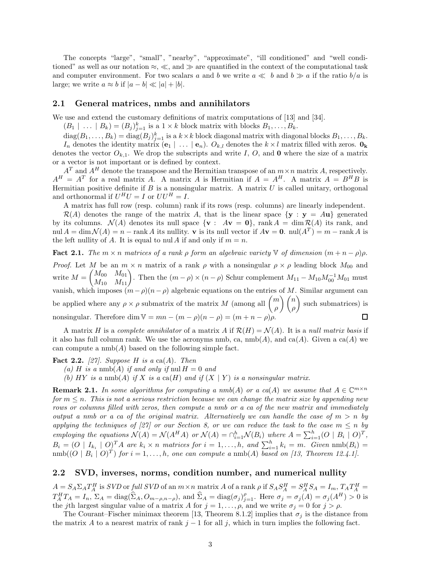The concepts "large", "small", "nearby", "approximate", "ill conditioned" and "well conditioned" as well as our notation  $\approx$ ,  $\ll$ , and  $\gg$  are quantified in the context of the computational task and computer environment. For two scalars a and b we write  $a \ll b$  and  $b \gg a$  if the ratio  $b/a$  is large; we write  $a \approx b$  if  $|a - b| \ll |a| + |b|$ .

### **2.1 General matrices, nmbs and annihilators**

We use and extend the customary definitions of matrix computations of [13] and [34].

 $(B_1 \mid \ldots \mid B_k) = (B_j)_{j=1}^k$  is a  $1 \times k$  block matrix with blocks  $B_1, \ldots, B_k$ .

 $\text{diag}(B_1, \ldots, B_k) = \text{diag}(B_j)_{j=1}^k$  is a  $k \times k$  block diagonal matrix with diagonal blocks  $B_1, \ldots, B_k$ .<br>*I* denotes the identity matrix  $(a, \cdot)$  and denotes the  $k \times l$  matrix filled with zeros.

*In* denotes the identity matrix  $(e_1 | \ldots | e_n)$ .  $O_{k,l}$  denotes the  $k \times l$  matrix filled with zeros.  $\mathbf{0}_k$ denotes the vector  $O_{k,1}$ . We drop the subscripts and write *I*, *O*, and **0** where the size of a matrix or a vector is not important or is defined by context.

 $A<sup>T</sup>$  and  $A<sup>H</sup>$  denote the transpose and the Hermitian transpose of an  $m \times n$  matrix *A*, respectively.  $A^H = A^T$  for a real matrix *A*. A matrix *A* is Hermitian if  $A = A^H$ . A matrix  $A = B^H B$  is Hermitian positive definite if *B* is a nonsingular matrix. A matrix *U* is called unitary, orthogonal and orthonormal if  $U^H U = I$  or  $UU^H = I$ .

A matrix has full row (resp. column) rank if its rows (resp. columns) are linearly independent.

 $\mathcal{R}(A)$  denotes the range of the matrix A, that is the linear space  $\{y : y = Au\}$  generated by its columns.  $\mathcal{N}(A)$  denotes its null space  $\{ \mathbf{v} : A\mathbf{v} = \mathbf{0} \}$ , rank  $A = \dim \mathcal{R}(A)$  its rank, and nul  $A = \dim \mathcal{N}(A) = n - \text{rank } A$  its nullity. **v** is its null vector if  $A$ **v** = **0**.  $\text{null}(A^T) = m - \text{rank } A$  is the left nullity of *A*. It is equal to nul *A* if and only if  $m = n$ .

**Fact 2.1.** *The*  $m \times n$  *matrices of a rank*  $\rho$  *form an algebraic variety*  $\mathbb{V}$  *of dimension*  $(m + n - \rho)\rho$ *. Proof.* Let *M* be an  $m \times n$  matrix of a rank *ρ* with a nonsingular  $\rho \times \rho$  leading block  $M_{00}$  and write  $M =$  $\begin{pmatrix} M_{00} & M_{01} \\ M_{10} & M_{11} \end{pmatrix}$ . Then the  $(m - \rho) \times (n - \rho)$  Schur complement  $M_{11} - M_{10} M_{00}^{-1} M_{01}$  must vanish, which imposes  $(m-\rho)(n-\rho)$  algebraic equations on the entries of *M*. Similar argument can be applied where any  $\rho \times \rho$  submatrix of the matrix *M* (among all  $\binom{m}{q}$ *ρ*  $\setminus$  *n ρ* - such submatrices) is nonsingular. Therefore dim  $V = mn - (m - \rho)(n - \rho) = (m + n - \rho)\rho$ .

A matrix *H* is a *complete annihilator* of a matrix *A* if  $\mathcal{R}(H) = \mathcal{N}(A)$ . It is a *null matrix basis* if it also has full column rank. We use the acronyms nmb, ca,  $\text{nmb}(A)$ , and  $\text{ca}(A)$ . Given a  $\text{ca}(A)$  we can compute a  $\text{nmb}(A)$  based on the following simple fact.

**Fact 2.2.** *[27]. Suppose H is a* ca(*A*)*. Then*

(a) *H* is a nmb(*A*) *if and only if* nul  $H = 0$  *and* 

(b)  $HY$  *is a* nmb(A) *if*  $X$  *is a* ca( $H$ ) *and if*  $(X | Y)$  *is a nonsingular matrix.* 

**Remark 2.1.** In some algorithms for computing a nmb(A) or a ca(A) we assume that  $A \in \mathbb{C}^{m \times n}$ *for*  $m \leq n$ . This is not a serious restriction because we can change the matrix size by appending new *rows or columns filled with zeros, then compute a nmb or a ca of the new matrix and immediately output a nmb or a ca of the original matrix. Alternatively we can handle the case of*  $m > n$  *by applying the techniques of [27] or our Section 8, or we can reduce the task to the case*  $m \leq n$  *by* employing the equations  $\mathcal{N}(A) = \mathcal{N}(A^H A)$  or  $\mathcal{N}(A) = \bigcap_{i=1}^h \mathcal{N}(B_i)$  where  $A = \sum_{i=1}^h (O \mid B_i \mid O)^T$ ,  $B_i = (O \mid I_{k_i} \mid O)^T A$  are  $k_i \times n$  matrices for  $i = 1, ..., h$ , and  $\sum_{i=1}^{h} k_i = m$ . Given  $\text{nmb}(B_i) = \text{nmb}((O \mid R_i \mid O)^T)$  for  $i = 1, ..., h$  are can compute a  $\text{nmb}(A)$  hased on [13] Theorem 12 [1]  $\text{mmb}((O \mid B_i \mid O)^T)$  *for*  $i = 1, \ldots, h$ *, one can compute a*  $\text{mmb}(A)$  *based on* [13, Theorem 12.4.1].

#### **2.2 SVD, inverses, norms, condition number, and numerical nullity**

 $A = S_A \Sigma_A T_A^H$  is *SVD* or full *SVD* of an  $m \times n$  matrix A of a rank  $\rho$  if  $S_A S_A^H = S_A^H S_A = I_m$ ,  $T_A T_A^H = T_A^H T_A = I_n$ ,  $\Sigma_A = \text{diag}(\hat{\Sigma}_A, O_{m-\rho,n-\rho})$ , and  $\hat{\Sigma}_A = \text{diag}(\sigma_j)_{j=1}^{\rho}$ . Here  $\sigma_j = \sigma_j(A) = \sigma_j(A^H) > 0$  is the *i*<sup>th</sup> the *j*th largest singular value of a matrix *A* for  $j = 1, \ldots, \rho$ , and we write  $\sigma_j = 0$  for  $j > \rho$ .

The Courant–Fischer minimax theorem [13, Theorem 8.1.2] implies that  $\sigma_i$  is the distance from the matrix *A* to a nearest matrix of rank  $j-1$  for all  $j$ , which in turn implies the following fact.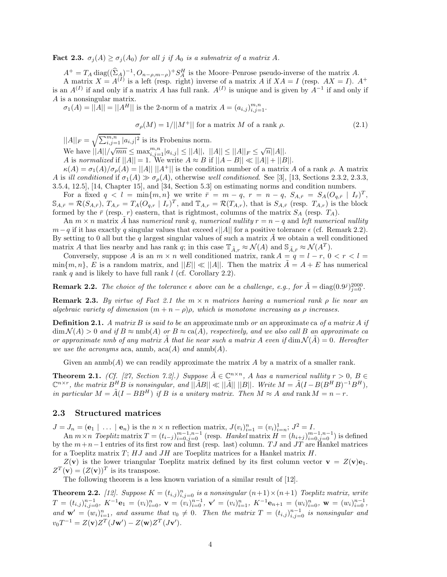**Fact 2.3.**  $\sigma_i(A) \geq \sigma_i(A_0)$  for all *j* if  $A_0$  is a submatrix of a matrix A.

 $A^+ = T_A \operatorname{diag}((\Sigma_A)^{-1}, O_{n-\rho,m-\rho})^+ S_A^H$  is the Moore–Penrose pseudo-inverse of the matrix *A*.<br>A matrix  $X = A^{(I)}$  is a left (resp. right) inverse of a matrix *A* if  $X A = I$  (resp.  $AX = I$ ). A matrix  $X = A^{(I)}$  is a left (resp. right) inverse of a matrix *A* if  $XA = I$  (resp.  $AX = I$ ).  $A^+$ is an  $A^{(I)}$  if and only if a matrix *A* has full rank.  $A^{(I)}$  is unique and is given by  $A^{-1}$  if and only if *A* is a nonsingular matrix.

 $\sigma_1(A) = ||A|| = ||A^H||$  is the 2-norm of a matrix  $A = (a_{i,j})_{i,j=1}^{m,n}$ .

$$
\sigma_{\rho}(M) = 1/||M^+||
$$
 for a matrix M of a rank  $\rho$ . (2.1)

 $||A||_F = \sqrt{\sum_{i,j=1}^{m,n} |a_{i,j}|^2}$  is its Frobenius norm.

We have  $||A||/\sqrt{mn} \le \max_{i,j=1}^{m,n} |a_{i,j}| \le ||A||$ ,  $||A|| \le ||A||_F \le \sqrt{n}||A||$ .<br>
A is normalized if  $||A|| = 1$ . We write  $A \approx B$  if  $||A - B|| \ll ||A|| + ||B||$ .

 $\kappa(A) = \sigma_1(A)/\sigma_0(A) = ||A|| \, ||A^+||$  is the condition number of a matrix *A* of a rank *ρ*. A matrix *A* is *ill conditioned* if  $\sigma_1(A) \gg \sigma_0(A)$ , otherwise *well conditioned*. See [3], [13, Sections 2.3.2, 2.3.3, 3.5.4, 12.5], [14, Chapter 15], and [34, Section 5.3] on estimating norms and condition numbers.

For a fixed  $q < l = \min\{m, n\}$  we write  $\bar{r} = m - q$ ,  $r = n - q$ ,  $S_{A,\bar{r}} = S_A (O_{q,\bar{r}} \mid I_{\bar{r}})^T$ ,  $\mathbb{S}_{A,\bar{r}} = \mathcal{R}(S_{A,\bar{r}}), T_{A,r} = T_A (O_{q,r} | I_r)^T$ , and  $\mathbb{T}_{A,r} = \mathcal{R}(T_{A,r}),$  that is  $S_{A,\bar{r}}$  (resp.  $T_{A,r}$ ) is the block formed by the  $\bar{r}$  (resp. *r*) eastern, that is rightmost, columns of the matrix  $S_A$  (resp.  $T_A$ ).

An  $m \times n$  matrix *A* has *numerical rank q*, *numerical nullity*  $r = n - q$  and *left numerical nullity m*−*q* if it has exactly *q* singular values that exceed  $\epsilon$ ||*A*|| for a positive tolerance  $\epsilon$  (cf. Remark 2.2). By setting to 0 all but the  $q$  largest singular values of such a matrix  $A$  we obtain a well conditioned matrix *A* that lies nearby and has rank *q*; in this case  $\mathbb{T}_{\bar{A},r} \approx \mathcal{N}(A)$  and  $\mathbb{S}_{\bar{A},\bar{r}} \approx \mathcal{N}(A^T)$ .<br>Conversely suppose *A* is an  $m \times n$  well conditioned matrix rank  $A - a - I - r = 0$ .

Conversely, suppose *A* is an  $m \times n$  well conditioned matrix, rank  $A = q = l - r, 0 < r < l =$  $\min\{m, n\}$ , *E* is a random matrix, and  $||E|| \ll ||A||$ . Then the matrix  $\overline{A} = A + E$  has numerical rank *q* and is likely to have full rank *l* (cf. Corollary 2.2).

**Remark 2.2.** *The choice of the tolerance*  $\epsilon$  above can be a challenge, e.g., for  $\tilde{A} = \text{diag}(0.9^j)_{j=0}^{2000}$ .

**Remark 2.3.** *By virtue of Fact 2.1 the*  $m \times n$  *matrices having a numerical rank*  $\rho$  *lie near an algebraic variety of dimension*  $(m + n - \rho)\rho$ , which is monotone increasing as  $\rho$  increases.

**Definition 2.1.** *A matrix B is said to be an* approximate nmb *or an* approximate ca *of a matrix A if*  $\dim \mathcal{N}(A) > 0$  *and if*  $B \approx \text{nmb}(A)$  *or*  $B \approx \text{ca}(A)$ *, respectively, and we also call*  $B$  *an approximate ca or approximate nmb of any matrix A* that lie near such a matrix *A* even if  $\dim \mathcal{N}(A) = 0$ . Hereafter we use the acronyms aca, anmb,  $\text{aca}(A)$  and  $\text{amb}(A)$ .

Given an anmb(*A*) we can readily approximate the matrix *A* by a matrix of a smaller rank.

**Theorem 2.1.** *(Cf. [27, Section 7.2].) Suppose*  $\tilde{A} \in \mathbb{C}^{n \times n}$ , *A has a numerical nullity*  $r > 0$ ,  $B \in$  $\mathbb{C}^{n \times r}$ , the matrix  $B^H B$  is nonsingular, and  $\|\tilde{A}B\| \ll \|\tilde{A}\| \|\tilde{B}\|$ . Write  $M = \tilde{A}(I - B(B^H B)^{-1}B^H)$ , *in particular*  $M = \tilde{A}(I - BB^H)$  *if*  $B$  *is a unitary matrix. Then*  $M \approx A$  *and* rank  $M = n - r$ .

### **2.3 Structured matrices**

 $J = J_n = (\mathbf{e}_1 | \dots | \mathbf{e}_n)$  is the  $n \times n$  reflection matrix,  $J(v_i)_{i=1}^n = (v_i)_{i=n}^1$ ;  $J^2 = I$ .<br>An  $m \times n$  Togplitz matrix  $T = (t_1, \dots)^{m-1,n-1}$  (resp. Hankel matrix  $H = (h_1, \dots)^{m-1}$ 

An  $m \times n$  Toeplitz matrix  $T = (t_{i-j})_{i=0}^{m-1,n-1}$  (resp. Hankel matrix  $H = (h_{i+j})_{i=0}^{m-1,n-1}$ ) is defined<br>the  $m+n-1$  entries of its first row and first (resp. last) column T I and IT are Hankel matrices by the *m*+*n*−1 entries of its first row and first (resp. last) column. *T J* and *JT* are Hankel matrices for a Toeplitz matrix *T*; *HJ* and *JH* are Toeplitz matrices for a Hankel matrix *H*.

 $Z(\mathbf{v})$  is the lower triangular Toeplitz matrix defined by its first column vector  $\mathbf{v} = Z(\mathbf{v})\mathbf{e}_1$ .  $Z^T(\mathbf{v})=(Z(\mathbf{v}))^T$  is its transpose.

The following theorem is a less known variation of a similar result of [12].

**Theorem 2.2.** [12]. Suppose  $K = (t_{i,j})_{i,j=0}^n$  is a nonsingular  $(n+1) \times (n+1)$  Toeplitz matrix, write  $T = (t_{i,j})_{i,j=0}^{n-1}, K^{-1}e_1 = (v_i)_{i=0}^n, \mathbf{v} = (v_i)_{i=0}^{n-1}, \mathbf{v}' = (v_i)_{i=1}^n, K^{-1}e_{n+1} = (w_i)_{i=0}^n, \mathbf{w} = (w_i)_{i=0}^{n-1},$ *and*  $\mathbf{w}' = (w_i)_{i=1}^n$ , and assume that  $v_0 \neq 0$ . Then the matrix  $T = (t_{i,j})_{i,j=0}^{n-1}$  is nonsingular and  $T^{-1} = Z(\cdot)Z^{T}(I_{i,j})Z^{T}(I_{i,j})Z^{T}(I_{i,j})$  $v_0 T^{-1} = Z(\mathbf{v}) Z^T (J\mathbf{w}') - Z(\mathbf{w}) Z^T (J\mathbf{v}').$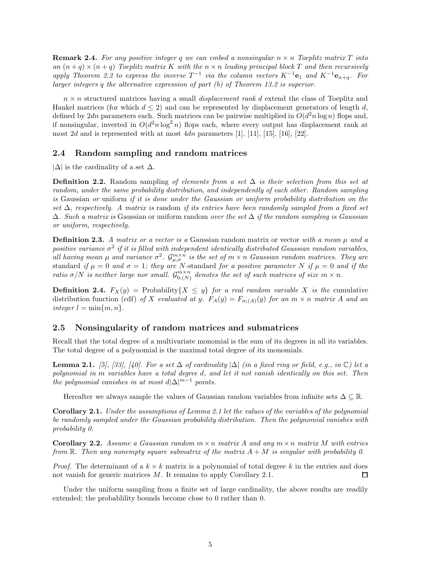**Remark 2.4.** For any positive integer q we can embed a nonsingular  $n \times n$  Toeplitz matrix T into *an*  $(n+q) \times (n+q)$  *Toeplitz matrix K with the*  $n \times n$  *leading principal block T and then recursively apply Theorem 2.2 to express the inverse*  $T^{-1}$  *via the column vectors*  $K^{-1}$ **e**<sub>1</sub> *and*  $K^{-1}$ **e**<sub>*n+q</sub></sub>. For</sub> larger integers q the alternative expression of part (b) of Theorem 13.2 is superior.*

*n* × *n* structured matrices having a small *displacement rank d* extend the class of Toeplitz and Hankel matrices (for which  $d \leq 2$ ) and can be represented by displacement generators of length *d*, defined by 2*dn* parameters each. Such matrices can be pairwise multiplied in  $O(d^2 n \log n)$  flops and, if nonsingular, inverted in  $O(d^2 n \log^2 n)$  flops each, where every output has displacement rank at most  $2d$  and is represented with at most  $4dn$  parameters  $[1]$ ,  $[11]$ ,  $[15]$ ,  $[16]$ ,  $[22]$ .

#### **2.4 Random sampling and random matrices**

 $|\Delta|$  is the cardinality of a set  $\Delta$ .

**Definition 2.2.** Random sampling *of elements from a set* ∆ *is their selection from this set at random, under the same probability distribution, and independently of each other. Random sampling is* Gaussian *or* uniform *if it is done under the Gaussian or uniform probability distribution on the set* ∆*, respectively. A matrix is* random *if its entries have been randomly sampled from a fixed set* ∆*. Such a matrix is* Gaussian or uniform random *over the set* ∆ *if the random sampling is Gaussian or uniform, respectively.*

**Definition 2.3.** *A matrix or a vector is a* Gaussian random matrix or vector *with a mean µ and a positive variance*  $\sigma^2$  *if it is filled with independent identically distributed Gaussian random variables, all having mean*  $\mu$  *and variance*  $\sigma^2$ *.*  $\mathcal{G}_{\mu,\sigma}^{m\times n}$  *is the set of*  $m \times n$  *Gaussian random matrices. They are* standard *if*  $\mu = 0$  *and*  $\sigma = 1$ ; they are *N*-standard for a positive parameter *N if*  $\mu = 0$  *and if* the *ratio*  $\sigma/N$  *is neither large nor small.*  $\mathcal{G}_{0,(N)}^{m \times n}$  *denotes the set of such matrices of size*  $m \times n$ *.* 

**Definition 2.4.**  $F_X(y) = \text{Probability}\{X \leq y\}$  *for a real random variable X is the* cumulative distribution function (cdf) of X evaluated at y.  $F_A(y) = F_{\sigma_l(A)}(y)$  for an  $m \times n$  matrix A and an  $integer l = min{m, n}.$ 

### **2.5 Nonsingularity of random matrices and submatrices**

Recall that the total degree of a multivariate monomial is the sum of its degrees in all its variables. The total degree of a polynomial is the maximal total degree of its monomials.

**Lemma 2.1.** *[5], [33], [40]. For a set*  $\Delta$  *of cardinality*  $|\Delta|$  *(in a fixed ring or field, e.g., in* ℂ*) let a polynomial in m variables have a total degree d, and let it not vanish identically on this set. Then the polynomial vanishes in at most*  $d|\Delta|^{m-1}$  *points.* 

Hereafter we always sample the values of Gaussian random variables from infinite sets  $\Delta \subseteq \mathbb{R}$ .

**Corollary 2.1.** *Under the assumptions of Lemma 2.1 let the values of the variables of the polynomial be randomly sampled under the Gaussian probability distribution. Then the polynomial vanishes with probability 0.*

**Corollary 2.2.** *Assume a Gaussian random*  $m \times n$  *matrix A and any*  $m \times n$  *matrix M with entries from*  $\mathbb{R}$ *. Then any nonempty square submatrix of the matrix*  $A + M$  *is singular with probability 0.* 

*Proof.* The determinant of a  $k \times k$  matrix is a polynomial of total degree k in the entries and does not vanish for generic matrices *M*. It remains to apply Corollary 2.1. □

Under the uniform sampling from a finite set of large cardinality, the above results are readily extended; the probablility bounds become close to 0 rather than 0.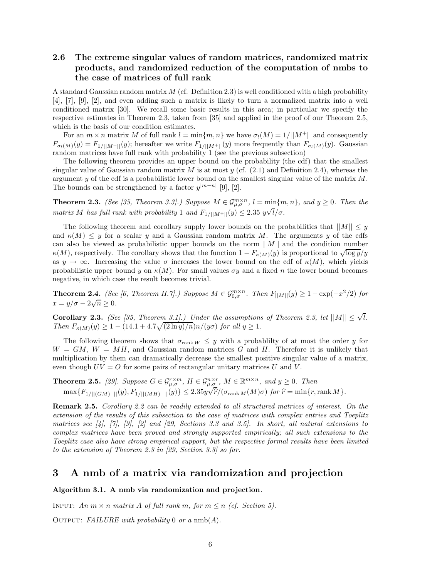### **2.6 The extreme singular values of random matrices, randomized matrix products, and randomized reduction of the computation of nmbs to the case of matrices of full rank**

A standard Gaussian random matrix *M* (cf. Definition 2.3) is well conditioned with a high probability [4], [7], [9], [2], and even adding such a matrix is likely to turn a normalized matrix into a well conditioned matrix [30]. We recall some basic results in this area; in particular we specify the respective estimates in Theorem 2.3, taken from [35] and applied in the proof of our Theorem 2.5, which is the basis of our condition estimates.

For an  $m \times n$  matrix M of full rank  $l = \min\{m, n\}$  we have  $\sigma_l(M) = 1/||M^+||$  and consequently  $F_{\sigma_l(M)}(y) = F_{1/||M^+||}(y)$ ; hereafter we write  $F_{1/||M^+||}(y)$  more frequently than  $F_{\sigma_l(M)}(y)$ . Gaussian random matrices have full rank with probability 1 (see the previous subsection)

The following theorem provides an upper bound on the probability (the cdf) that the smallest singular value of Gaussian random matrix *M* is at most *y* (cf. (2.1) and Definition 2.4), whereas the argument *y* of the cdf is a probabilistic lower bound on the smallest singular value of the matrix *M*. The bounds can be strengthened by a factor  $y^{|m-n|}$  [9], [2].

**Theorem 2.3.** *(See [35, Theorem 3.3].) Suppose*  $M \in \mathcal{G}_{\mu,\sigma}^{m \times n}$ ,  $l = \min\{m,n\}$ , and  $y \ge 0$ . Then the *matrix M has full rank with probability* 1 *and*  $F_{1/||M^+||}(y) \leq 2.35$   $y\sqrt{l/\sigma}$ .

The following theorem and corollary supply lower bounds on the probabilities that  $||M|| \leq y$ and  $\kappa(M) \leq y$  for a scalar y and a Gaussian random matrix M. The arguments y of the cdfs can also be viewed as probabilistic upper bounds on the norm ||*M*|| and the condition number  $\kappa(M)$ , respectively. The corollary shows that the function  $1 - F_{\kappa(M)}(y)$  is proportional to  $\sqrt{\log y}/y$ as  $y \to \infty$ . Increasing the value  $\sigma$  increases the lower bound on the cdf of  $\kappa(M)$ , which yields probabilistic upper bound *y* on  $\kappa(M)$ . For small values  $\sigma y$  and a fixed *n* the lower bound becomes negative, in which case the result becomes trivial.

**Theorem 2.4.** *(See [6, Theorem II.7].) Suppose*  $M \in \mathcal{G}_{0,\sigma}^{m \times n}$ . Then  $F_{\vert M \vert}(y) \geq 1 - \exp(-x^2/2)$  for  $x = y/\sigma - 2\sqrt{n} \ge 0$ .

**Corollary 2.3.** *(See [35, Theorem 3.1].) Under the assumptions of Theorem 2.3, let*  $||M|| \leq \sqrt{l}$ *. Then*  $F_{\kappa(M)}(y) \geq 1 - (14.1 + 4.7\sqrt{(2 \ln y)/n})n/(y\sigma)$  *for all*  $y \geq 1$ *.* 

The following theorem shows that  $\sigma_{\text{rank }W} \leq y$  with a probability of at most the order *y* for  $W = GM$ ,  $W = MH$ , and Gaussian random matrices *G* and *H*. Therefore it is unlikely that multiplication by them can dramatically decrease the smallest positive singular value of a matrix, even though  $UV = O$  for some pairs of rectangular unitary matrices U and V.

**Theorem 2.5.** [29]. Suppose  $G \in \mathcal{G}_{\mu,\sigma}^{r\times m}$ ,  $H \in \mathcal{G}_{\mu,\sigma}^{n\times r}$ ,  $M \in \mathbb{R}^{m\times n}$ , and  $y \ge 0$ . Then  $\max\{F_{1/||(GM)^{+}||}(y), F_{1/||(MH)^{+}||}(y)\} \le 2.35y$  $\frac{\mu, \epsilon}{\mu}$  $\hat{r}/(\sigma_{\text{rank }M}(M)\sigma)$  *for*  $\hat{r} = \min\{r, \text{rank }M\}.$ 

**Remark 2.5.** *Corollary 2.2 can be readily extended to all structured matrices of interest. On the extension of the results of this subsection to the case of matrices with complex entries and Toeplitz matrices see [4], [7], [9], [2] and [29, Sections 3.3 and 3.5]. In short, all natural extensions to complex matrices have been proved and strongly supported empirically; all such extensions to the Toeplitz case also have strong empirical support, but the respective formal results have been limited to the extension of Theorem 2.3 in [29, Section 3.3] so far.*

### **3 A nmb of a matrix via randomization and projection**

#### **Algorithm 3.1. A nmb via randomization and projection***.*

INPUT:  $An \, m \times n$  *matrix*  $A$  *of full rank*  $m$ *, for*  $m \leq n$  (*cf. Section 5).* 

Output: *FAILURE with probability* 0 *or a* nmb(*A*)*.*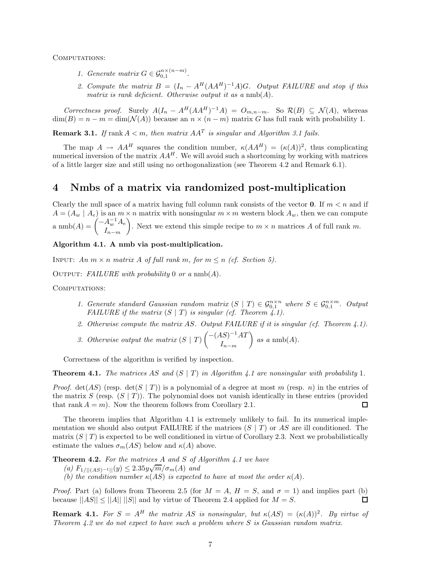COMPUTATIONS:

- *1. Generate matrix*  $G \in \mathcal{G}_{0,1}^{n \times (n-m)}$ .
- 2. Compute the matrix  $B = (I_n A^H(AA^H)^{-1}A)G$ *. Output FAILURE and stop if this matrix is rank deficient. Otherwise output it as a* nmb(*A*)*.*

Correctness proof. Surely  $A(I_n - A^H(AA^H)^{-1}A) = O_{m,n-m}$ . So  $\mathcal{R}(B) \subseteq \mathcal{N}(A)$ , whereas  $\dim(B) = n - m = \dim(\mathcal{N}(A))$  because an  $n \times (n - m)$  matrix G has full rank with probability 1.

**Remark 3.1.** *If* rank  $A < m$ , then matrix  $AA<sup>T</sup>$  *is singular and Algorithm 3.1 fails.* 

The map  $A \to AA^H$  squares the condition number,  $\kappa(AA^H) = (\kappa(A))^2$ , thus complicating numerical inversion of the matrix  $AA<sup>H</sup>$ . We will avoid such a shortcoming by working with matrices of a little larger size and still using no orthogonalization (see Theorem 4.2 and Remark 6.1).

### **4 Nmbs of a matrix via randomized post-multiplication**

Clearly the null space of a matrix having full column rank consists of the vector **0**. If  $m < n$  and if  $A = (A_w | A_e)$  is an  $m \times n$  matrix with nonsingular  $m \times m$  western block  $A_w$ , then we can compute  $\lim_{L \to \infty} \ln(A) = \int_{-L}^{L} A^{-1}_{w} A_{e}$ *<sup>I</sup>n*−*m* ). Next we extend this simple recipe to  $m \times n$  matrices *A* of full rank *m*.

### **Algorithm 4.1. A nmb via post-multiplication.**

INPUT: *An*  $m \times n$  *matrix A of full rank*  $m$ *, for*  $m \leq n$  *(cf. Section 5).* 

OUTPUT: *FAILURE with probability* 0 *or a*  $nmb(A)$ *.* 

COMPUTATIONS:

- *1. Generate standard Gaussian random matrix*  $(S | T) \in \mathcal{G}_{0,1}^{n \times n}$  where  $S \in \mathcal{G}_{0,1}^{n \times m}$ . Output *FAILURE if the matrix*  $(S | T)$  *is singular (cf. Theorem 4.1).*
- *2. Otherwise compute the matrix AS. Output FAILURE if it is singular (cf. Theorem 4.1).*
- *3. Otherwise output the matrix* (*S* | *T*) −(*AS*)−<sup>1</sup>*AT <sup>I</sup>n*−*m*  $\bigg\}$  as a nmb(A).

Correctness of the algorithm is verified by inspection.

**Theorem 4.1.** *The matrices AS* and  $(S | T)$  *in Algorithm 4.1 are nonsingular with probability* 1*.* 

*Proof.* det(*AS*) (resp. det(*S* | *T*)) is a polynomial of a degree at most *m* (resp. *n*) in the entries of the matrix *S* (resp.  $(S | T)$ ). The polynomial does not vanish identically in these entries (provided that rank  $A = m$ ). Now the theorem follows from Corollary 2.1. ◻

The theorem implies that Algorithm 4.1 is extremely unlikely to fail. In its numerical implementation we should also output FAILURE if the matrices (*S* | *T*) or *AS* are ill conditioned. The matrix  $(S | T)$  is expected to be well conditioned in virtue of Corollary 2.3. Next we probabilistically estimate the values  $\sigma_m(AS)$  below and  $\kappa(A)$  above.

**Theorem 4.2.** *For the matrices A and S of Algorithm 4.1 we have*

**(a)**  $F_{1/||(AS)^{-1}||}(y) \leq 2.35y\sqrt{m}/\sigma_m(A)$  and<br>
(b) the condition number  $u(AS)$  is concepted.

*(b)* the condition number  $\kappa(AS)$  is expected to have at most the order  $\kappa(A)$ .

*Proof.* Part (a) follows from Theorem 2.5 (for  $M = A$ ,  $H = S$ , and  $\sigma = 1$ ) and implies part (b) because  $||AS|| \le ||A|| \cdot ||S||$  and by virtue of Theorem 2.4 applied for  $M = S$ . П

**Remark 4.1.** *For*  $S = A^H$  *the matrix AS is nonsingular, but*  $\kappa(AS) = (\kappa(A))^2$ *. By virtue of Theorem 4.2 we do not expect to have such a problem where S is Gaussian random matrix.*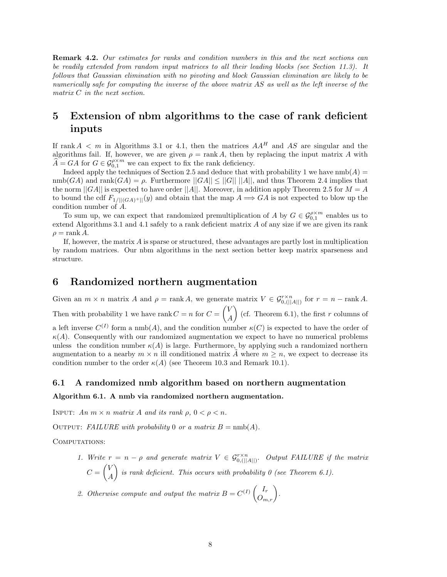**Remark 4.2.** *Our estimates for ranks and condition numbers in this and the next sections can be readily extended from random input matrices to all their leading blocks (see Section 11.3). It follows that Gaussian elimination with no pivoting and block Gaussian elimination are likely to be numerically safe for computing the inverse of the above matrix AS as well as the left inverse of the matrix C in the next section.*

### **5 Extension of nbm algorithms to the case of rank deficient inputs**

If rank  $A < m$  in Algorithms 3.1 or 4.1, then the matrices  $AA<sup>H</sup>$  and  $AS$  are singular and the algorithms fail. If, however, we are given  $\rho = \text{rank } A$ , then by replacing the input matrix A with  $A = GA$  for  $G \in \mathcal{G}_{0,1}^{\rho \times m}$  we can expect to fix the rank deficiency.

Indeed apply the techniques of Section 2.5 and deduce that with probability 1 we have  $\text{nmb}(A)$  =  $\text{nmb}(GA)$  and  $\text{rank}(GA) = \rho$ . Furthermore  $||GA|| \le ||G|| ||A||$ , and thus Theorem 2.4 implies that the norm  $||GA||$  is expected to have order  $||A||$ . Moreover, in addition apply Theorem 2.5 for  $M = A$ to bound the cdf  $F_{1/||(GA)+||}(y)$  and obtain that the map  $A \Longrightarrow GA$  is not expected to blow up the condition number of *A*.

To sum up, we can expect that randomized premultiplication of *A* by  $G \in \mathcal{G}_{0,1}^{\rho \times m}$  enables us to and Algorithms 3.1 and *A*.1 safely to a rank deficient matrix *A* of any size if we are given its rank extend Algorithms 3.1 and 4.1 safely to a rank deficient matrix *A* of any size if we are given its rank  $\rho =$ rank *A*.

If, however, the matrix *A* is sparse or structured, these advantages are partly lost in multiplication by random matrices. Our nbm algorithms in the next section better keep matrix sparseness and structure.

### **6 Randomized northern augmentation**

Given an  $m \times n$  matrix  $A$  and  $\rho = \text{rank } A$ , we generate matrix  $V \in \mathcal{G}_{0, (||A||)}^{r \times n}$  for  $r = n - \text{rank } A$ . Then with probability 1 we have rank  $C = n$  for  $C =$  $\sqrt{V}$ *A*  $\binom{6}{r}$  (cf. Theorem 6.1), the first *r* columns of a left inverse  $C^{(I)}$  form a nmb(A), and the condition number  $\kappa(C)$  is expected to have the order of  $\kappa(A)$ . Consequently with our randomized augmentation we expect to have no numerical problems unless the condition number  $\kappa(A)$  is large. Furthermore, by applying such a randomized northern augmentation to a nearby  $m \times n$  ill conditioned matrix  $\tilde{A}$  where  $m \geq n$ , we expect to decrease its condition number to the order  $\kappa(A)$  (see Theorem 10.3 and Remark 10.1).

### **6.1 A randomized nmb algorithm based on northern augmentation**

#### **Algorithm 6.1. A nmb via randomized northern augmentation.**

INPUT:  $An \, m \times n \, matrix \, A \, and \, its \, rank \, \rho, \, 0 < \rho < n.$ 

OUTPUT: *FAILURE with probability* 0 *or a matrix*  $B = \text{nmb}(A)$ .

COMPUTATIONS:

*1. Write*  $r = n - \rho$  *and generate matrix*  $V \in \mathcal{G}_{0, (||A||)}^{\rho \times n}$ . Output FAILURE if the matrix  $C =$  $\sqrt{V}$ *A is rank deficient. This occurs with probability 0 (see Theorem 6.1).* 

2. Otherwise compute and output the matrix  $B = C^{(I)} \begin{pmatrix} I_r \\ O_{m,r} \end{pmatrix}$ .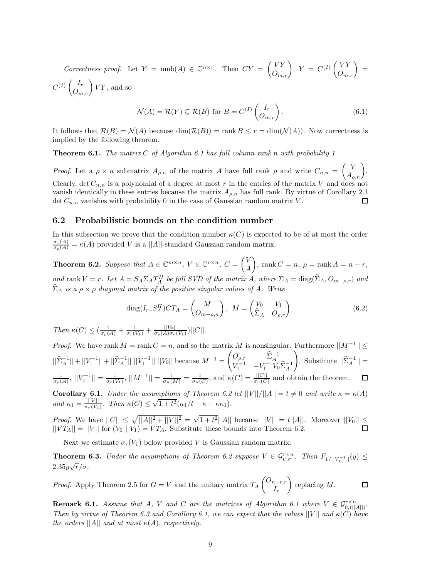*Correctness proof.* Let  $Y = \text{nmb}(A) \in \mathbb{C}^{n \times r}$ . Then  $CY = \begin{pmatrix} VY \\ O_{m,r} \end{pmatrix}$ ,  $Y = C^{(I)} \begin{pmatrix} VY \\ O_{m,r} \end{pmatrix} =$  $C^{(I)}\begin{pmatrix} I_r \\ O_{m,r} \end{pmatrix} VY$ , and so

$$
\mathcal{N}(A) = \mathcal{R}(Y) \subseteq \mathcal{R}(B) \text{ for } B = C^{(I)} \begin{pmatrix} I_r \\ O_{m,r} \end{pmatrix}.
$$
 (6.1)

It follows that  $\mathcal{R}(B) = \mathcal{N}(A)$  because  $\dim(\mathcal{R}(B)) = \text{rank } B \leq r = \dim(\mathcal{N}(A))$ . Now correctness is implied by the following theorem.

**Theorem 6.1.** *The matrix C of Algorithm 6.1 has full column rank n with probability 1.*

*Proof.* Let a  $\rho \times n$  submatrix  $A_{\rho,n}$  of the matrix A have full rank  $\rho$  and write  $C_{n,n}$  =  $\begin{pmatrix} V \\ A_{\rho,n} \end{pmatrix}$ . Clearly, det  $C_{n,n}$  is a polynomial of a degree at most r in the entries of the matrix V and does not vanish identically in these entries because the matrix  $A_{\rho,n}$  has full rank. By virtue of Corollary 2.1 det  $C_{n,n}$  vanishes with probability 0 in the case of Gaussian random matrix V. det  $C_{n,n}$  vanishes with probability 0 in the case of Gaussian random matrix *V*.

### **6.2 Probabilistic bounds on the condition number**

In this subsection we prove that the condition number  $\kappa(C)$  is expected to be of at most the order  $\frac{\sigma_1(A)}{\sigma_\rho(A)} = \kappa(A)$  provided *V* is a ||*A*||-standard Gaussian random matrix.

**Theorem 6.2.** *Suppose that*  $A \in \mathbb{C}^{m \times n}$ ,  $V \in \mathbb{C}^{r \times n}$ ,  $C = \begin{pmatrix} V & \mathcal{F} \\ \mathcal{F} & \mathcal{F} \end{pmatrix}$ *A*  $\left( \int_{0}^{\infty} \right)$ , rank  $C = n$ ,  $\rho = \text{rank } A = n - r$ , and rank  $V = r$ . Let  $A = S_A \Sigma_A T_A^H$  be full SVD of the matrix A, where  $\Sigma_A = \text{diag}(\Sigma_A, O_{m-\rho,r})$  and  $\hat{\Sigma}$  $\widehat{\Sigma}_A$  *is a*  $\rho \times \rho$  *diagonal matrix of the positive singular values of A. Write* 

$$
diag(I_r, S_A^H)CT_A = \begin{pmatrix} M \\ O_{m-\rho,n} \end{pmatrix}, \ M = \begin{pmatrix} V_0 & V_1 \\ \hat{\Sigma}_A & O_{\rho,r} \end{pmatrix}.
$$
 (6.2)

 $\int_{c}^{R} f(R) \leq \left( \frac{1}{\sigma_{\rho}(A)} + \frac{1}{\sigma_{\rho}(V_1)} + \frac{||V_0||}{\sigma_{\rho}(A)\sigma_{\rho}(V_1)} \right) ||C||.$ 

*Proof.* We have rank  $M = \text{rank } C = n$ , and so the matrix M is nonsingular. Furthermore  $||M^{-1}|| \le$  $\begin{pmatrix} O_{\rho,r} & \widehat{\Sigma}_A^{-1} \\ V_1^{-1} & -V_1^{-1}V_0\widehat{\Sigma}_A^{-1} \end{pmatrix}$  $\setminus$  $||\hat{\Sigma}_A^{-1}|| + ||V_1^{-1}|| + ||\hat{\Sigma}_A^{-1}|| ||V_1^{-1}|| ||V_0||$  because  $M^{-1} =$  $\text{Substitute } ||\hat{\Sigma}_A^{-1}|| =$  $\frac{1}{\sigma_p(A)},$   $||V_1^{-1}|| = \frac{1}{\sigma_r(V_1)},$   $||M^{-1}|| = \frac{1}{\sigma_n(M)} = \frac{1}{\sigma_n(C)},$  and  $\kappa(C) = \frac{||C||}{\sigma_n(C)}$  and obtain the theorem.  $\Box$ 

**Corollary 6.1.** *Under the assumptions of Theorem 6.2 let*  $||V||/||A|| = t \neq 0$  *and write*  $\kappa = \kappa(A)$ *and*  $\kappa_1 = \frac{||V||}{\sigma_r(V_1)}$ . Then  $\kappa(C) \le \sqrt{1+t^2}(\kappa_1/t + \kappa + \kappa \kappa_1)$ .

*Proof.* We have  $||C|| \le \sqrt{||A||^2 + ||V||^2} = \sqrt{1+t^2}||A||$  because  $||V|| = t||A||$ . Moreover  $||V_0|| \le$  $||VT_A|| = ||V||$  for  $(V_0 | V_1) = VT_A$ . Substitute these bounds into Theorem 6.2.

Next we estimate  $\sigma_r(V_1)$  below provided *V* is Gaussian random matrix.

**Theorem 6.3.** *Under the assumptions of Theorem 6.2 suppose*  $V \in \mathcal{G}_{\mu,\sigma}^{r \times n}$ . Then  $F_{1/||V_{1}^{-1}||}(y) \leq$ 2*.*35*y* <sup>√</sup>*r/σ.*

 $\left(\frac{O_{n-r,r}}{I}\right)$ - replacing *M*.  $\Box$ *Proof.* Apply Theorem 2.5 for  $G = V$  and the unitary matrix  $T_A$ *Ir*

**Remark 6.1.** *Assume that A*, *V and C are the matrices of Algorithm 6.1 where*  $V \in \mathcal{G}_{0,\{||A||\}}^{\mathcal{F} \times n}$ .<br>Then by virtue of Theorem 6.2 and Conclleme 6.1, we see are smoot that the values  $||U||$  and  $u(C)$  be *Then by virtue of Theorem 6.3 and Corollary 6.1, we can expect that the values*  $||V||$  and  $\kappa(C)$  *have the orders*  $||A||$  *and at most*  $\kappa(A)$ *, respectively.*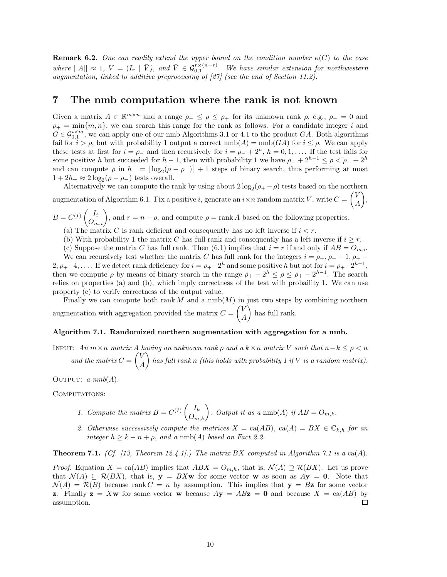**Remark 6.2.** One can readily extend the upper bound on the condition number  $\kappa(C)$  to the case *where*  $||A|| \approx 1$ ,  $V = (I_r | \bar{V})$ , and  $\bar{V} \in \mathcal{G}_{0,1}^{r\times(n-r)}$ . We have similar extension for northwestern quamentation, linked to additive preprocessing of [97] (see the end of Section 11.9) *augmentation, linked to additive preprocessing of [27] (see the end of Section 11.2).*

### **7 The nmb computation where the rank is not known**

Given a matrix  $A \in \mathbb{R}^{m \times n}$  and a range  $\rho_- \leq \rho \leq \rho_+$  for its unknown rank  $\rho$ , e.g.,  $\rho_- = 0$  and  $\rho_+ = \min\{m, n\}$ , we can search this range for the rank as follows. For a candidate integer *i* and  $G \in \mathcal{G}_{0,1}^{i \times m}$ , we can apply one of our nmb Algorithms 3.1 or 4.1 to the product *GA*. Both algorithms fail for  $i > \rho$ , but with probability 1 output a correct  $\text{nmb}(A) = \text{nmb}(GA)$  for  $i \leq \rho$ . We can apply these tests at first for  $i = \rho_-$  and then recursively for  $i = \rho_- + 2^h$ ,  $h = 0, 1, \ldots$  If the test fails for some positive *h* but succeeded for *h* − 1, then with probability 1 we have  $\rho_+ + 2^{h-1} \leq \rho < \rho_+ + 2^h$ and can compute  $\rho$  in  $h_{+} = \lfloor \log_2(\rho - \rho_{-}) \rfloor + 1$  steps of binary search, thus performing at most  $1+2h_+ \approx 2 \log_2(\rho - \rho_-)$  tests overall.

Alternatively we can compute the rank by using about  $2 \log_2(\rho_+ - \rho)$  tests based on the northern augmentation of Algorithm 6.1. Fix a positive *i*, generate an  $i \times n$  random matrix *V*, write  $C =$  $\sqrt{V}$ *A* -,

 $B = C^{(I)}\begin{pmatrix} I_i \\ O_{m,i} \end{pmatrix}$ , and  $r = n - \rho$ , and compute  $\rho = \text{rank } A$  based on the following properties.

- (a) The matrix *C* is rank deficient and consequently has no left inverse if  $i < r$ .
- (b) With probability 1 the matrix *C* has full rank and consequently has a left inverse if  $i \geq r$ .
- (c) Suppose the matrix *C* has full rank. Then (6.1) implies that  $i = r$  if and only if  $AB = O_{m,i}$ .

We can recursively test whether the matrix *C* has full rank for the integers  $i = \rho_+, \rho_+ - 1, \rho_+ 2, \rho_{+}-4, \ldots$  If we detect rank deficiency for  $i = \rho_{+}-2^{h}$  and some positive *h* but not for  $i = \rho_{+}-2^{h-1}$ , then we compute  $\rho$  by means of binary search in the range  $\rho_+ - 2^h \leq \rho \leq \rho_+ - 2^{h-1}$ . The search relies on properties (a) and (b), which imply correctness of the test with probaility 1. We can use property (c) to verify correctness of the output value.

Finally we can compute both rank  $M$  and a  $\text{nmb}(M)$  in just two steps by combining northern augmentation with aggregation provided the matrix  $C =$  $\sqrt{V}$ *A* ) has full rank.

#### **Algorithm 7.1. Randomized northern augmentation with aggregation for a nmb.**

INPUT:  $An \, m \times n$  *matrix*  $A$  *having an unknown rank*  $\rho$  *and a*  $k \times n$  *matrix*  $V$  *such that*  $n - k \leq \rho < n$ and the matrix  $C =$  $\sqrt{V}$ *A* - *has full rank n (this holds with probability 1 if V is a random matrix).*

OUTPUT:  $a \; nmb(A)$ .

COMPUTATIONS:

- *1. Compute the matrix*  $B = C^{(I)}\begin{pmatrix} I_k \ O_{m,k} \end{pmatrix}$ *. Output it as a* nmb(*A*) *if*  $AB = O_{m,k}$ *.*
- 2. Otherwise successively compute the matrices  $X = \text{ca}(AB)$ ,  $\text{ca}(A) = BX \in \mathbb{C}_{k,h}$  for an *integer*  $h \geq k - n + \rho$ *, and a* nmb(*A*) *based on Fact 2.2.*

**Theorem 7.1.** *(Cf. [13, Theorem 12.4.1].) The matrix BX computed in Algorithm 7.1 is a* ca(*A*)*.* 

*Proof.* Equation  $X = \text{ca}(AB)$  implies that  $ABX = O_{m,h}$ , that is,  $\mathcal{N}(A) \supseteq \mathcal{R}(BX)$ . Let us prove that  $\mathcal{N}(A) \subseteq \mathcal{R}(BX)$ , that is,  $\mathbf{y} = BX\mathbf{w}$  for some vector **w** as soon as  $A\mathbf{y} = \mathbf{0}$ . Note that  $\mathcal{N}(A) = \mathcal{R}(B)$  because rank  $C = n$  by assumption. This implies that  $\mathbf{y} = B\mathbf{z}$  for some vector **z**. Finally  $z = Xw$  for some vector **w** because  $Ay = ABz = 0$  and because  $X = ca(AB)$  by assumption.  $\Box$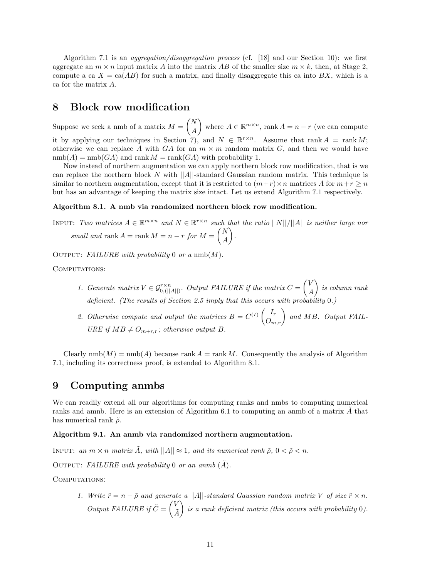Algorithm 7.1 is an *aggregation/disaggregation process* (cf. [18] and our Section 10): we first aggregate an  $m \times n$  input matrix A into the matrix AB of the smaller size  $m \times k$ , then, at Stage 2. compute a ca  $X = \text{ca}(AB)$  for such a matrix, and finally disaggregate this ca into BX, which is a ca for the matrix *A*.

### **8 Block row modification**

Suppose we seek a nmb of a matrix *M* = *N A* where  $A \in \mathbb{R}^{m \times n}$ , rank  $A = n - r$  (we can compute it by applying our techniques in Section 7), and  $N \in \mathbb{R}^{r \times n}$ . Assume that rank  $A = \text{rank } M$ ; otherwise we can replace A with  $GA$  for an  $m \times m$  random matrix  $G$ , and then we would have  $nmb(A) = nmb(GA)$  and rank  $M = rank(GA)$  with probability 1.

Now instead of northern augmentation we can apply northern block row modification, that is we can replace the northern block *N* with ||*A*||-standard Gaussian random matrix. This technique is similar to northern augmentation, except that it is restricted to  $(m+r) \times n$  matrices A for  $m+r \geq n$ but has an advantage of keeping the matrix size intact. Let us extend Algorithm 7.1 respectively.

#### **Algorithm 8.1. A nmb via randomized northern block row modification.**

INPUT: *Two matrices*  $A \in \mathbb{R}^{m \times n}$  *and*  $N \in \mathbb{R}^{r \times n}$  *such that the ratio*  $||N||/||A||$  *is neither large nor*  $small and rank A = rank M = n - r for M =$  *N A* - *.*

OUTPUT: *FAILURE with probability* 0 *or a* nmb( $M$ ).

COMPUTATIONS:

- 1. Generate matrix  $V \in \mathcal{G}_{0, (||A||)}^{r \times n}$ . Output FAILURE if the matrix  $C =$  $\sqrt{V}$ *A* - *is column rank deficient. (The results of Section 2.5 imply that this occurs with probability* 0*.)*
- 2. Otherwise compute and output the matrices  $B = C^{(I)} \begin{pmatrix} I_r \\ O_{m,r} \end{pmatrix}$  and MB. Output FAIL-<br>*I*IP *E* if MB + *Q* and address output *B URE* if  $MB \neq O_{m+r,r}$ ; otherwise output *B*.

Clearly  $\text{mmb}(M) = \text{mmb}(A)$  because  $\text{rank } A = \text{rank } M$ . Consequently the analysis of Algorithm 7.1, including its correctness proof, is extended to Algorithm 8.1.

### **9 Computing anmbs**

We can readily extend all our algorithms for computing ranks and nmbs to computing numerical ranks and amnb. Here is an extension of Algorithm 6.1 to computing an anmb of a matrix A that has numerical rank  $\tilde{\rho}$ .

#### **Algorithm 9.1. An anmb via randomized northern augmentation.**

INPUT: an  $m \times n$  matrix  $\tilde{A}$ , with  $||A|| \approx 1$ , and its numerical rank  $\tilde{\rho}$ ,  $0 < \tilde{\rho} < n$ .

OUTPUT: FAILURE with probability 0 or an anmb  $(\tilde{A})$ .

COMPUTATIONS:

*1. Write*  $\tilde{r} = n - \tilde{\rho}$  and generate a ||A||-standard Gaussian random matrix V of size  $\tilde{r} \times n$ . *Output FAILURE if*  $\tilde{C} = \begin{pmatrix} V & 0 \\ 0 & 0 \end{pmatrix}$ *A*˜ - *is a rank deficient matrix (this occurs with probability* 0*).*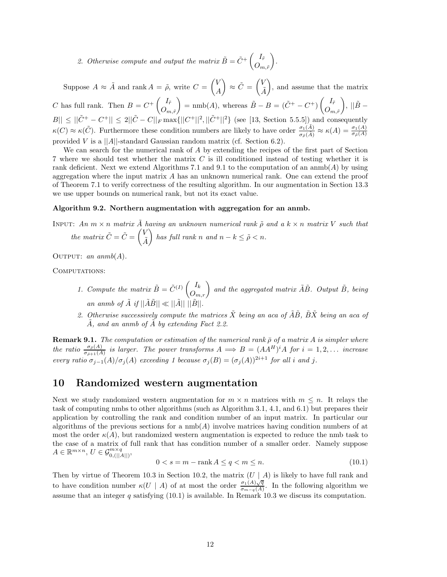2. Otherwise compute and output the matrix  $\tilde{B} = \tilde{C}^+ \begin{pmatrix} I_r^T & I_r^T \end{pmatrix}$  $O_{m,\tilde{r}}$ - *.*

Suppose  $A \approx \tilde{A}$  and rank  $A = \tilde{\rho}$ , write  $C = \begin{pmatrix} V & V \\ V & V \end{pmatrix}$ *A*  $\sum_{i=1}^{\infty}$   $\sum_{i=1}^{\infty}$ *A*˜ ), and assume that the matrix *C* has full rank. Then  $B = C^+ \begin{pmatrix} I_{\tilde{r}} \\ 0 \end{pmatrix} = \text{nmb}(A)$ , whereas  $\tilde{B} - B = (\tilde{C}^+ - C^+) \begin{pmatrix} I_{\tilde{r}} \\ 0 \end{pmatrix}$ ,  $||\tilde{B} - B||$  $O_{m,\tilde{r}}$   $\left\{\n\begin{array}{ccc}\nO_{m,\tilde{r}} & \cup \mathcal{O}_{m,\tilde{r}} \\
O_{m,\tilde{r}} & \cup \mathcal{O}_{m,\tilde{r}}\n\end{array}\n\right\}$  $|B|| \le ||\tilde{C}^+ - C^+|| \le 2||\tilde{C} - C||_F \max\{||C^+||^2, ||\tilde{C}^+||^2\}$  (see [13, Section 5.5.5]) and consequently  $\kappa(C) \approx \kappa(\tilde{C})$ . Furthermore these condition numbers are likely to have order  $\frac{\sigma_1(\tilde{A})}{\sigma_{\tilde{\rho}}(\tilde{A})} \approx \kappa(A) = \frac{\sigma_1(A)}{\sigma_{\tilde{\rho}}(A)}$ provided *V* is a ||*A*||-standard Gaussian random matrix (cf. Section 6.2).

We can search for the numerical rank of *A* by extending the recipes of the first part of Section 7 where we should test whether the matrix *C* is ill conditioned instead of testing whether it is rank deficient. Next we extend Algorithms 7.1 and 9.1 to the computation of an anmb(*A*) by using aggregation where the input matrix *A* has an unknown numerical rank. One can extend the proof of Theorem 7.1 to verify correctness of the resulting algorithm. In our augmentation in Section 13.3 we use upper bounds on numerical rank, but not its exact value.

#### **Algorithm 9.2. Northern augmentation with aggregation for an anmb.**

INPUT: An  $m \times n$  matrix  $\tilde{A}$  having an unknown numerical rank  $\tilde{\rho}$  and a  $k \times n$  matrix V such that *the matrix*  $\tilde{C} = \tilde{C} = \begin{pmatrix} V \\ \tilde{I} \end{pmatrix}$ *A*˜  $\left\{ \begin{array}{l} \right\}$  has full rank *n* and  $n - k \leq \tilde{\rho} < n$ .

OUTPUT: *an anmb* $(A)$ *.* 

COMPUTATIONS:

- *1. Compute the matrix*  $\tilde{B} = \tilde{C}^{(I)} \begin{pmatrix} I_k \\ O_{m,r} \end{pmatrix}$  and the aggregated matrix  $\tilde{A}\tilde{B}$ . Output  $\tilde{B}$ , being *an anmb of*  $\tilde{A}$  *if*  $||\tilde{A}\tilde{B}|| \ll ||\tilde{A}||$   $||\tilde{B}||$ .
- 2. Otherwise successively compute the matrices  $\tilde{X}$  being an aca of  $\tilde{A}\tilde{B}$ ,  $\tilde{B}\tilde{X}$  being an aca of *A*˜*, and an anmb of A*˜ *by extending Fact 2.2.*

**Remark 9.1.** *The computation or estimation of the numerical rank*  $\bar{\rho}$  *of a matrix A is simpler where* the ratio  $\frac{\sigma_{\bar{\rho}}(A)}{\sigma_{\bar{\rho}+1}(A)}$  is larger. The power transforms  $A \implies B = (AA^H)^i A$  for  $i = 1, 2, ...$  increase *every ratio*  $\sigma_{j-1}(A)/\sigma_j(A)$  *exceeding* 1 *because*  $\sigma_j(B) = (\sigma_j(A))^{2i+1}$  *for all i and j*.

### **10 Randomized western augmentation**

Next we study randomized western augmentation for  $m \times n$  matrices with  $m \leq n$ . It relays the task of computing nmbs to other algorithms (such as Algorithm 3.1, 4.1, and 6.1) but prepares their application by controlling the rank and condition number of an input matrix. In particular our algorithms of the previous sections for a nmb(*A*) involve matrices having condition numbers of at most the order  $\kappa(A)$ , but randomized western augmentation is expected to reduce the nmb task to the case of a matrix of full rank that has condition number of a smaller order. Namely suppose  $A \in \mathbb{R}^{m \times n}, \, U \in \mathcal{G}_{0, (||A||)}^{m \times q},$ 

$$
0 < s = m - \operatorname{rank} A \le q < m \le n. \tag{10.1}
$$

Then by virtue of Theorem 10.3 in Section 10.2, the matrix (*U* | *A*) is likely to have full rank and to have condition number  $\kappa(U \mid A)$  of at most the order  $\frac{\sigma_1(A)\sqrt{q}}{\sigma_{m-q}(A)}$ . In the following algorithm we assume that an integer  $q$  satisfying (10.1) is available. In Remark 10.3 we discuss its computation.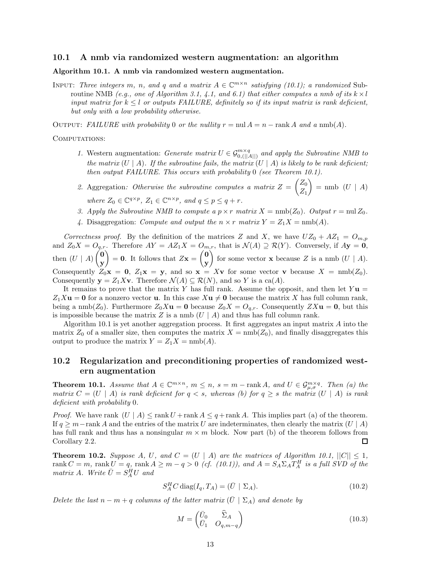#### **10.1 A nmb via randomized western augmentation: an algorithm**

#### **Algorithm 10.1. A nmb via randomized western augmentation.**

INPUT: *Three integers m, n<sub></sub>,* and *q* and *a matrix*  $A \in \mathbb{C}^{m \times n}$  *satisfying (10.1); a randomized* Subroutine NMB *(e.g., one of Algorithm 3.1, 4.1, and 6.1) that either computes a nmb of its*  $k \times l$ *input matrix for*  $k \leq l$  *or outputs FAILURE, definitely so if its input matrix is rank deficient, but only with a low probability otherwise.*

OUTPUT: *FAILURE with probability* 0 *or the nullity*  $r = \text{null } A = n - \text{rank } A$  *and a*  $\text{nnb}(A)$ *.* 

#### COMPUTATIONS:

- *1.* Western augmentation: *Generate matrix*  $U \in \mathcal{G}_{0,||A||}^{m \times q}$  and apply the Subroutine NMB to the matrix  $(II \mid A)$  is likely to be reach deficient. *the matrix*  $(U | A)$ *. If the subroutine fails, the matrix*  $(U | A)$  *is likely to be rank deficient; then output FAILURE. This occurs with probability* 0 *(see Theorem 10.1).*
- *2.* Aggregation*: Otherwise the subroutine computes a matrix Z* = *Z*0 *Z*1  $=$  nmb  $(U \mid A)$ *where*  $Z_0 \in \mathbb{C}^{q \times p}$ ,  $Z_1 \in \mathbb{C}^{n \times p}$ , and  $q \leq p \leq q + r$ .
- *3. Apply the Subroutine NMB to compute a*  $p \times r$  *matrix*  $X = \text{nmb}(Z_0)$ *. Output*  $r = \text{nu}Z_0$ *.*
- 4. Disaggregation: *Compute and output the*  $n \times r$  *matrix*  $Y = Z_1 X = \text{nmb}(A)$ *.*

*Correctness proof.* By the definition of the matrices *Z* and *X*, we have  $UZ_0 + AZ_1 = O_{m,p}$ <br> $\downarrow$  *Z X*  $\downarrow$  *O*  $\downarrow$  *Thomsfons AX*  $\downarrow$  *AZ X*  $\downarrow$  *O*  $\downarrow$  that is  $\mathcal{N}(\uparrow) \supseteq \mathcal{D}(X)$ . Convergely if  $\uparrow$ and  $Z_0X = O_{q,r}$ . Therefore  $AY = AZ_1X = O_{m,r}$ , that is  $\mathcal{N}(A) \supseteq \mathcal{R}(Y)$ . Conversely, if  $A\mathbf{y} = \mathbf{0}$ , then  $(U \mid A)$  **0 y**  $= 0$ . It follows that  $Z\mathbf{x} =$  **0 y** for some vector **x** because *Z* is a nmb  $(U | A)$ . Consequently  $Z_0$ **x** = **0**,  $Z_1$ **x** = **y**, and so **x** = X**v** for some vector **v** because  $X = \text{nmb}(Z_0)$ . Consequently  $\mathbf{y} = Z_1 X \mathbf{v}$ . Therefore  $\mathcal{N}(A) \subseteq \mathcal{R}(N)$ , and so *Y* is a ca(*A*).

It remains to prove that the matrix *Y* has full rank. Assume the opposit, and then let  $Yu =$  $Z_1 X$ **u** = **0** for a nonzero vector **u**. In this case  $X$ **u**  $\neq$  **0** because the matrix *X* has full column rank, being a nmb( $Z_0$ ). Furthermore  $Z_0X$ **u** = **0** because  $Z_0X = O_{q,r}$ . Consequently  $ZX$ **u** = **0**, but this is impossible because the matrix  $Z$  is a nmb  $(U | A)$  and thus has full column rank.

Algorithm 10.1 is yet another aggregation process. It first aggregates an input matrix *A* into the matrix  $Z_0$  of a smaller size, then computes the matrix  $X = \text{nmb}(Z_0)$ , and finally disaggregates this output to produce the matrix  $Y = Z_1 X = \text{nmb}(A)$ .

### **10.2 Regularization and preconditioning properties of randomized western augmentation**

**Theorem 10.1.** *Assume that*  $A \in \mathbb{C}^{m \times n}$ ,  $m \leq n$ ,  $s = m - \text{rank } A$ , and  $U \in \mathcal{G}_{\mu,\sigma}^{m \times q}$ . Then (a) the *matrix*  $C = (U \mid A)$  *is rank deficient for*  $q < s$ *, whereas (b) for*  $q \geq s$  *the matrix*  $(U \mid A)$  *is rank deficient with probability* 0*.*

*Proof.* We have rank  $(U \mid A) \le \text{rank } U + \text{rank } A \le q + \text{rank } A$ . This implies part (a) of the theorem. If  $q \geq m$ −rank *A* and the entries of the matrix *U* are indeterminates, then clearly the matrix  $(U | A)$ has full rank and thus has a nonsingular  $m \times m$  block. Now part (b) of the theorem follows from Corollary 2.2.  $\Box$ 

**Theorem 10.2.** *Suppose A*, *U*, and  $C = (U \mid A)$  are the matrices of Algorithm 10.1,  $||C|| \leq 1$ , rank  $C = m$ , rank  $U = q$ , rank  $A \ge m - q > 0$  (cf. (10.1)), and  $A = S_A \Sigma_A T_A^H$  is a full SVD of the matrix A. Write  $\bar{U} = S_A^H U$  and

$$
S_A^H C \operatorname{diag}(I_q, T_A) = (\bar{U} \mid \Sigma_A). \tag{10.2}
$$

*Delete the last*  $n - m + q$  *columns of the latter matrix*  $(\bar{U} | \Sigma_A)$  *and denote by* 

$$
M = \begin{pmatrix} \bar{U}_0 & \hat{\Sigma}_A \\ \bar{U}_1 & O_{q,m-q} \end{pmatrix} \tag{10.3}
$$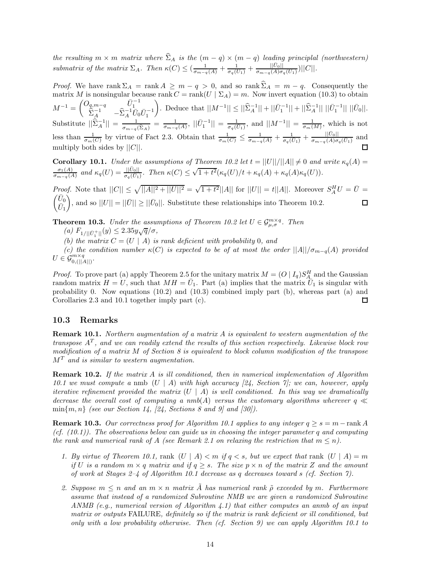*the resulting*  $m \times m$  *matrix where*  $\widehat{\Sigma}_A$  *is the*  $(m-q) \times (m-q)$  *leading principlal (northwestern)* submatrix of the matrix  $\Sigma_A$ . Then  $\kappa(C) \leq (\frac{1}{\sigma_{m-q}(A)} + \frac{1}{\sigma_q(\bar{U}_1)} + \frac{||\bar{U}_0||}{\sigma_{m-q}(A)\sigma_q(\bar{U}_1)})||C||$ .

*Proof.* We have rank  $\Sigma_A = \text{rank } A \geq m - q > 0$ , and so  $\text{rank } \Sigma_A = m - q$ . Consequently the protiin *M* is parairmular because  $\text{rank } G$ ,  $\text{rank}(H | \Sigma_A) = m$ . Now invest exuation (10.2) to obtain matrix *M* is nonsingular because rank  $C = \text{rank}(U \mid \Sigma_A) = m$ . Now invert equation (10.3) to obtain  $M^{-1} = \begin{pmatrix} O_{q,m-q} & \bar{U}_1^{-1} \\ \hat{\Sigma}_A^{-1} & -\hat{\Sigma}_A^{-1} \bar{U}_0 \bar{U}_1^{-1} \end{pmatrix}$  $\left| \int_{\Omega} \mathcal{L} \right| = \int_{\Omega} \left| \int_{\Omega} \left| \mathcal{L}^{-1} \right| \right| + \left| \int_{\Omega} \mathcal{L}^{-1} \right| + \left| \int_{\Omega} \mathcal{L}^{-1} \right| \left| \mathcal{L}^{-1} \right| \left| \mathcal{L}^{-1} \right| \left| \mathcal{L}^{-1} \right| \left| \mathcal{L}^{-1} \right| \left| \mathcal{L}^{-1} \right|$ Substitute  $||\hat{\Sigma}_A^{-1}|| = \frac{1}{\sigma_{m-q}(\hat{\Sigma}_A)} = \frac{1}{\sigma_{m-q}(A)}, ||\bar{U}_1^{-1}|| = \frac{1}{\sigma_q(\bar{U}_1)},$  and  $||M^{-1}|| = \frac{1}{\sigma_m(M)},$  which is not less than  $\frac{1}{\sigma_m(C)}$  by virtue of Fact 2.3. Obtain that  $\frac{1}{\sigma_m(C)} \leq \frac{1}{\sigma_{m-q}(A)} + \frac{1}{\sigma_q(\bar{U}_1)} + \frac{|\bar{U}_0||}{\sigma_{m-q}(A)\sigma_q(\bar{U}_1)}$  and multiply both sides by ||*C*||.

**Corollary 10.1.** *Under the assumptions of Theorem 10.2 let*  $t = ||U||/||A|| \neq 0$  *and write*  $\kappa_q(A) =$ Coronary 10.1. Onder the assumptions of Theorem 10.2 for  $t = ||U||/|||I||| + 0$  and  $\frac{\sigma_1(A)}{\sigma_{m-q}(A)}$  and  $\kappa_q(U) = \frac{||\bar{U}_0||}{\sigma_q(\bar{U}_1)}$ . Then  $\kappa(C) \leq \sqrt{1+t^2}(\kappa_q(U)/t + \kappa_q(A) + \kappa_q(A)\kappa_q(U)).$ 

*Proof.* Note that  $||C|| \le \sqrt{||A||^2 + ||U||^2} = \sqrt{1 + t^2} ||A||$  for  $||U|| = t ||A||$ . Moreover  $S_A^H U = \overline{U} = \sqrt{\overline{U}_0}$  $\bar{U}_0$  $\bar{U}_1$ ), and so  $||U|| = ||\bar{U}|| \ge ||\bar{U}_0||$ . Substitute these relationships into Theorem 10.2.

**Theorem 10.3.** *Under the assumptions of Theorem 10.2 let*  $U \in \mathcal{G}_{\mu,\sigma}^{m \times q}$ *. Then* 

 $(a) F_{1/||\bar{U}_1^+||}(y) \leq 2.35y\sqrt{q}/\sigma,$ <br>
(*b*) the matrix  $C_{1/||U_1||}(y)$  is

*(b) the matrix*  $C = (U \mid A)$  *is rank deficient with probability* 0*, and* 

*(c)* the condition number  $\kappa(C)$  is expected to be of at most the order  $||A||/\sigma_{m-q}(A)$  provided  $U \in \mathcal{G}_{0, (||A||)}^{m \times q}$ .

*Proof.* To prove part (a) apply Theorem 2.5 for the unitary matrix  $M = (O | I_q) S_A^H$  and the Gaussian random matrix  $H = I$ , such that  $MH = \overline{U}$ . Part (a) implies that the matrix  $\overline{U}$ , is singular with random matrix  $H = U$ , such that  $MH = \overline{U}_1$ . Part (a) implies that the matrix  $\overline{U}_1$  is singular with probability 0. Now equations (10.2) and (10.3) combined imply part (b), whereas part (a) and Corollaries 2.3 and 10.1 together imply part (c).  $\Box$ 

### **10.3 Remarks**

**Remark 10.1.** *Northern augmentation of a matrix A is equivalent to western augmentation of the transpose A<sup>T</sup> , and we can readily extend the results of this section respectively. Likewise block row modification of a matrix M of Section 8 is equivalent to block column modification of the transpose M<sup>T</sup> and is similar to western augmentation.*

**Remark 10.2.** *If the matrix A is ill conditioned, then in numerical implementation of Algorithm 10.1 we must compute a* nmb (*U* | *A*) *with high accuracy [24, Section 7]; we can, however, apply iterative refinement provided the matrix*  $(U \mid A)$  *is well conditioned. In this way we dramatically decrease the overall cost of computing a nmb(A) versus the customary algorithms wherever*  $q \ll$  $\min\{m, n\}$  *(see our Section 14, [24, Sections 8 and 9] and [30]).* 

**Remark 10.3.** Our correctness proof for Algorithm 10.1 applies to any integer  $q \geq s = m - \text{rank } A$ *(cf. (10.1)). The observations below can guide us in choosing the integer parameter q and computing the rank and numerical rank of A* (see Remark 2.1 on relaxing the restriction that  $m \leq n$ ).

- *1. By virtue of Theorem 10.1,* rank  $(U | A) < m$  *if*  $q < s$ *, but we expect that* rank  $(U | A) = m$ *if U is a random*  $m \times q$  *matrix and if*  $q \geq s$ *. The size*  $p \times n$  *of the matrix Z and the amount of work at Stages 2–4 of Algorithm 10.1 decrease as q decreases toward s (cf. Section 7).*
- 2. Suppose  $m \leq n$  and an  $m \times n$  matrix  $\overline{A}$  has numerical rank  $\tilde{\rho}$  exceeded by  $m$ . Furthermore *assume that instead of a randomized Subroutine NMB we are given a randomized Subroutine ANMB (e.g., numerical version of Algorithm 4.1) that either computes an anmb of an input matrix or outputs* FAILURE*, definitely so if the matrix is rank deficient or ill conditioned, but only with a low probability otherwise. Then (cf. Section 9) we can apply Algorithm 10.1 to*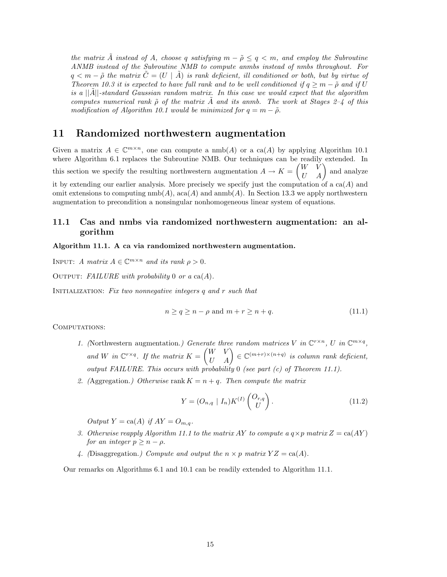*the matrix*  $\hat{A}$  *instead of*  $A$ *, choose q satisfying*  $m - \tilde{\rho} \leq q < m$ *, and employ the Subroutine ANMB instead of the Subroutine NMB to compute anmbs instead of nmbs throughout. For*  $q < m - \tilde{\rho}$  the matrix  $\tilde{C} = (U \mid \tilde{A})$  is rank deficient, ill conditioned or both, but by virtue of *Theorem 10.3 it is expected to have full rank and to be well conditioned if*  $q \geq m - \tilde{\rho}$  *and if U is a* ||*A*˜||*-standard Gaussian random matrix. In this case we would expect that the algorithm computes numerical rank*  $\tilde{\rho}$  *of the matrix*  $\tilde{A}$  *and its anmb. The work at Stages 2–4 of this modification of Algorithm 10.1 would be minimized for*  $q = m - \tilde{\rho}$ .

### **11 Randomized northwestern augmentation**

Given a matrix  $A \in \mathbb{C}^{m \times n}$ , one can compute a nmb(A) or a ca(A) by applying Algorithm 10.1 where Algorithm 6.1 replaces the Subroutine NMB. Our techniques can be readily extended. In this section we specify the resulting northwestern augmentation  $A \to K =$  $\begin{pmatrix} W & \check{V} \\ U & A \end{pmatrix}$  and analyze it by extending our earlier analysis. More precisely we specify just the computation of a ca(*A*) and omit extensions to computing  $\text{nmb}(A)$ , aca $(A)$  and  $\text{amb}(A)$ . In Section 13.3 we apply northwestern augmentation to precondition a nonsingular nonhomogeneous linear system of equations.

### **11.1 Cas and nmbs via randomized northwestern augmentation: an algorithm**

#### **Algorithm 11.1. A ca via randomized northwestern augmentation.**

INPUT: *A matrix*  $A \in \mathbb{C}^{m \times n}$  *and its rank*  $\rho > 0$ *.* 

Output: *FAILURE with probability* 0 *or a* ca(*A*)*.*

Initialization: *Fix two nonnegative integers q and r such that*

$$
n \ge q \ge n - \rho \text{ and } m + r \ge n + q. \tag{11.1}
$$

COMPUTATIONS:

- *1.* (Northwestern augmentation.) Generate three random matrices V in  $\mathbb{C}^{r \times n}$ , U in  $\mathbb{C}^{m \times q}$ , and *W* in  $\mathbb{C}^{r \times q}$ . If the matrix  $K = \begin{pmatrix} W & V \\ U & A \end{pmatrix} \in \mathbb{C}^{(m+r) \times (n+q)}$  is column rank deficient, *output FAILURE. This occurs with probability* 0 *(see part (c) of Theorem 11.1).*
- 2. (Aggregation.) Otherwise rank  $K = n + q$ . Then compute the matrix

$$
Y = (O_{n,q} | I_n) K^{(I)} \begin{pmatrix} O_{r,q} \\ U \end{pmatrix}.
$$
 (11.2)

 $Output Y = ca(A)$  *if*  $AY = O_{m,q}$ *.* 

- *3. Otherwise reapply Algorithm 11.1 to the matrix AY to compute a*  $q \times p$  matrix  $Z = \text{ca}(AY)$ *for an integer*  $p > n - \rho$ *.*
- 4. (Disaggregation.) Compute and output the  $n \times p$  matrix  $YZ = \text{ca}(A)$ .

Our remarks on Algorithms 6.1 and 10.1 can be readily extended to Algorithm 11.1.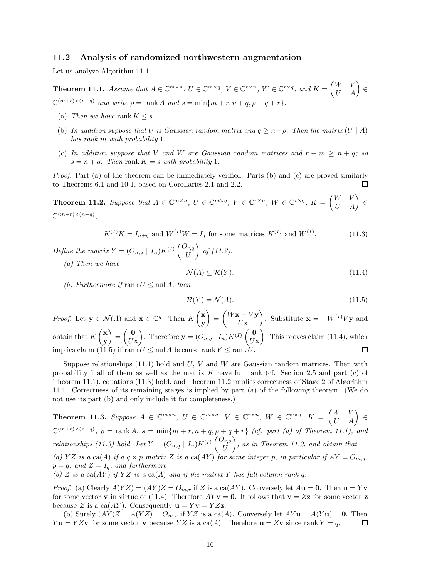#### **11.2 Analysis of randomized northwestern augmentation**

Let us analyze Algorithm 11.1.

**Theorem 11.1.** Assume that  $A \in \mathbb{C}^{m \times n}$ ,  $U \in \mathbb{C}^{m \times q}$ ,  $V \in \mathbb{C}^{r \times n}$ ,  $W \in \mathbb{C}^{r \times q}$ , and  $K = \begin{pmatrix} W & V \\ U & A \end{pmatrix} \in$  $\mathbb{C}^{(m+r)\times(n+q)}$  *and write*  $\rho = \text{rank } A$  *and*  $s = \min\{m+r, n+q, \rho+q+r\}.$ 

- (a) *Then we have* rank  $K \leq s$ .
- (b) In addition suppose that U is Gaussian random matrix and  $q \geq n \rho$ . Then the matrix  $(U \mid A)$ *has rank m with probability* 1*.*
- (c) In addition suppose that V and W are Gaussian random matrices and  $r + m \geq n + q$ ; so  $s = n + q$ *. Then* rank  $K = s$  *with probability* 1*.*

*Proof.* Part (a) of the theorem can be immediately verified. Parts (b) and (c) are proved similarly to Theorems 6.1 and 10.1, based on Corollaries 2.1 and 2.2. □

**Theorem 11.2.** Suppose that  $A \in \mathbb{C}^{m \times n}$ ,  $U \in \mathbb{C}^{m \times q}$ ,  $V \in \mathbb{C}^{r \times n}$ ,  $W \in \mathbb{C}^{r \times q}$ ,  $K = \begin{pmatrix} W & V \\ U & A \end{pmatrix} \in$  $\mathbb{C}^{(m+r)\times(n+q)}$ 

$$
K^{(I)}K = I_{n+q} \text{ and } W^{(I)}W = I_q \text{ for some matrices } K^{(I)} \text{ and } W^{(I)}.
$$
 (11.3)

*Define the matrix*  $Y = (O_{n,q} | I_n)K^{(I)}\begin{pmatrix} O_{r,q} \\ U \end{pmatrix}$ - *of (11.2).*

*(a) Then we have*

$$
\mathcal{N}(A) \subseteq \mathcal{R}(Y). \tag{11.4}
$$

*(b)* Furthermore if rank  $U \leq \text{null } A$ , then

$$
\mathcal{R}(Y) = \mathcal{N}(A). \tag{11.5}
$$

*Proof.* Let  $\mathbf{y} \in \mathcal{N}(A)$  and  $\mathbf{x} \in \mathbb{C}^q$ . Then  $K\begin{pmatrix} \mathbf{x} \\ \mathbf{y} \end{pmatrix}$  $\Big) =$  $\int$ *W***x** + *V***y**  $\left( \int_{0}^{\infty}$  Substitute **x** =  $-W^{(I)}V$ **y** and **y** *U***x x**  $=\begin{pmatrix} 0 \\ 0 \end{pmatrix}$  $\left( \int \frac{\mathbf{0}}{U} \right)$ . Therefore  $\mathbf{y} = (O_{n,q} | I_n) K^{(I)} \left( \int \frac{\mathbf{0}}{U} \right)$ ). This proves claim (11.4), which obtain that *K* **y** *U***x** *U***x** implies claim (11.5) if rank  $U \leq \text{null } A$  because rank  $Y \leq \text{rank } U$ . 口

Suppose relationships (11.1) hold and *U*, *V* and *W* are Gaussian random matrices. Then with probability 1 all of them as well as the matrix *K* have full rank (cf. Section 2.5 and part (c) of Theorem 11.1), equations (11.3) hold, and Theorem 11.2 implies correctness of Stage 2 of Algorithm 11.1. Correctness of its remaining stages is implied by part (a) of the following theorem. (We do not use its part (b) and only include it for completeness.)

**Theorem 11.3.** Suppose  $A \in \mathbb{C}^{m \times n}$ ,  $U \in \mathbb{C}^{m \times q}$ ,  $V \in \mathbb{C}^{r \times n}$ ,  $W \in \mathbb{C}^{r \times q}$ ,  $K = \begin{pmatrix} W & V \\ U & A \end{pmatrix} \in$  $\mathbb{C}^{(m+r)\times(n+q)}$ ,  $\rho = \text{rank } A$ ,  $s = \min\{m+r, n+q, \rho+q+r\}$  *(cf. part (a) of Theorem 11.1), and relationships (11.3) hold. Let*  $Y = (O_{n,q} | I_n)K^{(I)} \begin{pmatrix} O_{r,q} \\ U \end{pmatrix}$ - *, as in Theorem 11.2, and obtain that* (a) YZ is a ca(A) if a  $q \times p$  matrix Z is a ca(AY) for some integer p, in particular if  $AY = O_{m,q}$ ,  $p = q$ *, and*  $Z = I_q$ *, and furthermore* 

*(b) Z is a*  $ca(AY)$  *if*  $YZ$  *is a*  $ca(A)$  *and if the matrix*  $Y$  *has full column rank*  $q$ *.* 

*Proof.* (a) Clearly  $A(YZ) = (AY)Z = O_{m,r}$  if *Z* is a ca(*AY*). Conversely let  $A**u** = **0**$ . Then  $$ for some vector **v** in virtue of (11.4). Therefore  $AYv = 0$ . It follows that  $v = Zz$  for some vector **z** because *Z* is a ca(*AY*). Consequently  $\mathbf{u} = Y\mathbf{v} = YZ\mathbf{z}$ .

(b) Surely  $(AY)Z = A(YZ) = O_{m,r}$  if  $YZ$  is a ca(*A*). Conversely let  $AY$ **u** =  $A(Y$ **u**) = **0**. Then  $y = YZ$ **v** for some vector **v** because  $YZ$  is a ca(*A*). Therefore **u** =  $Z$ **v** since rank  $Y = q$ .  $\Box$ *Y* **u** = *YZ***v** for some vector **v** because *YZ* is a ca(*A*). Therefore **u** = *Z***v** since rank *Y* = *q*.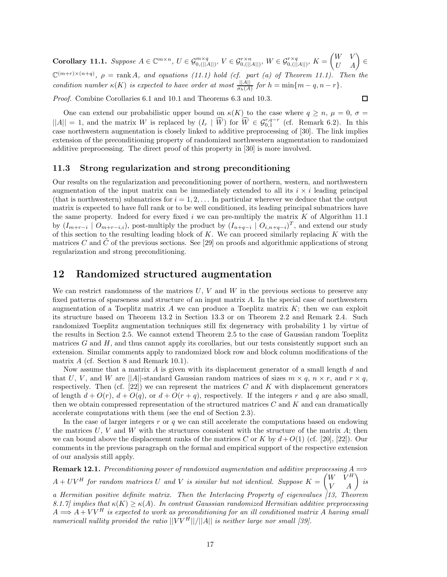**Corollary 11.1.** Suppose  $A \in \mathbb{C}^{m \times n}$ ,  $U \in \mathcal{G}_{0, (||A||)}^{m \times q}$ ,  $V \in \mathcal{G}_{0, (||A||)}^{r \times n}$ ,  $W \in \mathcal{G}_{0, (||A||)}^{r \times q}$ ,  $K =$  $\begin{pmatrix} W & V \\ U & A \end{pmatrix} \in$  $\mathbb{C}^{(m+r)\times(n+q)}$ ,  $\rho = \text{rank }A$ , and equations (11.1) hold (cf. part (a) of Theorem 11.1). Then the *condition number*  $\kappa(K)$  *is expected to have order at most*  $\frac{||A||}{\sigma_h(A)}$  *for*  $h = \min\{m - q, n - r\}$ *.* 

*Proof.* Combine Corollaries 6.1 and 10.1 and Theorems 6.3 and 10.3.

$$
\overline{\square}
$$

One can extend our probabilistic upper bound on  $\kappa(K)$  to the case where  $q \geq n$ ,  $\mu = 0$ ,  $\sigma =$  $||A|| = 1$ , and the matrix *W* is replaced by  $(I_r | W)$  for  $W \in \mathcal{G}_{0,1}^{r,q-r}$  (cf. Remark 6.2). In this case northwestern augmentation is closely linked to additive preprocessing of [30]. The link implies extension of the preconditioning property of randomized northwestern augmentation to randomized additive preprocessing. The direct proof of this property in [30] is more involved.

### **11.3 Strong regularization and strong preconditioning**

Our results on the regularization and preconditioning power of northern, western, and northwestern augmentation of the input matrix can be immediately extended to all its  $i \times i$  leading principal (that is northwestern) submatrices for  $i = 1, 2, \ldots$  In particular wherever we deduce that the output matrix is expected to have full rank or to be well conditioned, its leading principal submatrices have the same property. Indeed for every fixed *i* we can pre-multiply the matrix *K* of Algorithm 11.1 by  $(I_{m+r-i} \mid O_{m+r-i,i})$ , post-multiply the product by  $(I_{n+q-i} \mid O_{i,n+q-i})^T$ , and extend our study of this section to the resulting leading block of *K*. We can proceed similarly replacing *K* with the matrices  $C$  and  $C$  of the previous sections. See [29] on proofs and algorithmic applications of strong regularization and strong preconditioning.

### **12 Randomized structured augmentation**

We can restrict randomness of the matrices *U*, *V* and *W* in the previous sections to preserve any fixed patterns of sparseness and structure of an input matrix *A*. In the special case of northwestern augmentation of a Toeplitz matrix  $A$  we can produce a Toeplitz matrix  $K$ ; then we can exploit its structure based on Theorem 13.2 in Section 13.3 or on Theorem 2.2 and Remark 2.4. Such randomized Toeplitz augmentation techniques still fix degeneracy with probability 1 by virtue of the results in Section 2.5. We cannot extend Theorem 2.5 to the case of Gaussian random Toeplitz matrices *G* and *H*, and thus cannot apply its corollaries, but our tests consistently support such an extension. Similar comments apply to randomized block row and block column modifications of the matrix *A* (cf. Section 8 and Remark 10.1).

Now assume that a matrix *A* is given with its displacement generator of a small length *d* and that *U*, *V*, and *W* are  $||A||$ -standard Gaussian random matrices of sizes  $m \times q$ ,  $n \times r$ , and  $r \times q$ , respectively. Then (cf.  $[22]$ ) we can represent the matrices *C* and *K* with displacement generators of length  $d + O(r)$ ,  $d + O(q)$ , or  $d + O(r + q)$ , respectively. If the integers r and q are also small, then we obtain compressed representation of the structured matrices *C* and *K* and can dramatically accelerate computations with them (see the end of Section 2.3).

In the case of larger integers *r* or *q* we can still accelerate the computations based on endowing the matrices *U*, *V* and *W* with the structures consistent with the structure of the matrix *A*; then we can bound above the displacement ranks of the matrices *C* or *K* by  $d+O(1)$  (cf. [20], [22]). Our comments in the previous paragraph on the formal and empirical support of the respective extension of our analysis still apply.

**Remark 12.1.** *Preconditioning power of randomized augmentation and additive preprocessing A* ⇒  $A + UV^H$  for random matrices U and V is similar but not identical. Suppose  $K =$  $\begin{pmatrix} W & V^H \\ V & A \end{pmatrix}$  is

*a Hermitian positive definite matrix. Then the Interlacing Property of eigenvalues [13, Theorem 8.1.7] implies that κ*(*K*) ≥ *κ*(*A*)*. In contrast Gaussian randomized Hermitian additive preprocessing*  $A \Longrightarrow A + V V^H$  is expected to work as preconditioning for an ill conditioned matrix A having small *numericall nullity provided the ratio* ||*V V <sup>H</sup>*||*/*||*A*|| *is neither large nor small [39].*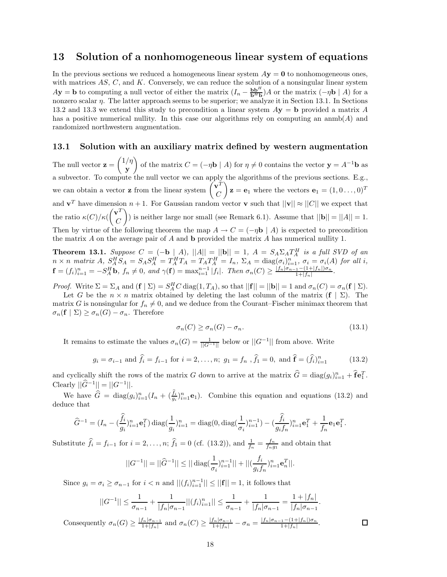### **13 Solution of a nonhomogeneous linear system of equations**

In the previous sections we reduced a homogeneous linear system  $A$ **y** = **0** to nonhomogeneous ones, with matrices *AS*, *C*, and *K*. Conversely, we can reduce the solution of a nonsingular linear system  $A$ **y** = **b** to computing a null vector of either the matrix  $(I_n - \frac{b b^H}{b^H} A)$  or the matrix  $(-\eta b \mid A)$  for a nonzero scalar *η*. The latter approach seems to be superior; we analyze it in Section 13.1. In Sections 13.2 and 13.3 we extend this study to precondition a linear system *A***y** = **b** provided a matrix *A* has a positive numerical nullity. In this case our algorithms rely on computing an anmb(*A*) and randomized northwestern augmentation.

### **13.1 Solution with an auxiliary matrix defined by western augmentation**

The null vector **z** = 1*/η* **y** of the matrix  $C = (-\eta \mathbf{b} \mid A)$  for  $\eta \neq 0$  contains the vector  $\mathbf{y} = A^{-1} \mathbf{b}$  as a subvector. To compute the null vector we can apply the algorithms of the previous sections. E.g., we can obtain a vector **z** from the linear system  $\begin{pmatrix} \mathbf{v}^T \\ C \end{pmatrix}$ *C*  $\mathbf{z} = \mathbf{e}_1$  where the vectors  $\mathbf{e}_1 = (1, 0 \dots, 0)^T$ and  $\mathbf{v}^T$  have dimension  $n+1$ . For Gaussian random vector **v** such that  $||\mathbf{v}|| \approx ||C||$  we expect that the ratio  $\kappa(C)/\kappa(C)$  $\left(\mathbf{v}^T\right)$ *C* ) is neither large nor small (see Remark 6.1). Assume that  $||\mathbf{b}|| = ||A|| = 1$ . Then by virtue of the following theorem the map  $A \to C = (-\eta \mathbf{b} \mid A)$  is expected to precondition the matrix *A* on the average pair of *A* and **b** provided the matrix *A* has numerical nullity 1.

**Theorem 13.1.** Suppose  $C = (-\mathbf{b} \mid A)$ ,  $||A|| = ||\mathbf{b}|| = 1$ ,  $A = S_A \Sigma_A T_A^H$  is a full SVD of an  $n \times n$  matrix  $A$ ,  $S_A^H S_A = S_A S_A^H = T_A^H T_A = T_A T_A^H = I_n$ ,  $\Sigma_A = \text{diag}(\sigma_i)_{i=1}^n$ ,  $\sigma_i = \sigma_i(A)$  for all i,  $\mathbf{f} = (f_i)_{i=1}^n = -S_A^H \mathbf{b}, f_n \neq 0, \text{ and } \gamma(\mathbf{f}) = \max_{i=1}^{n-1} |f_i|.$  Then  $\sigma_n(C) \geq \frac{|f_n|\sigma_{n-1} - (1+|f_n|)\sigma_n}{1+|f_n|}$ .

*Proof.* Write  $\Sigma = \Sigma_A$  and  $(\mathbf{f} \mid \Sigma) = S_A^H C \operatorname{diag}(1, T_A)$ , so that  $||\mathbf{f}|| = ||\mathbf{b}|| = 1$  and  $\sigma_n(C) = \sigma_n(\mathbf{f} \mid \Sigma)$ .<br>Let *C* be the  $n \times n$  matrix obtained by deleting the last column of the matrix  $(\mathbf{f} \mid \Sigma)$ . The

Let *G* be the  $n \times n$  matrix obtained by deleting the last column of the matrix  $(f | \Sigma)$ . The matrix *G* is nonsingular for  $f_n \neq 0$ , and we deduce from the Courant–Fischer minimax theorem that  $\sigma_n(\mathbf{f} \mid \Sigma) \geq \sigma_n(G) - \sigma_n$ . Therefore

$$
\sigma_n(C) \ge \sigma_n(G) - \sigma_n. \tag{13.1}
$$

It remains to estimate the values  $\sigma_n(G) = \frac{1}{||G^{-1}||}$  below or  $||G^{-1}||$  from above. Write

$$
g_i = \sigma_{i-1}
$$
 and  $\hat{f}_i = f_{i-1}$  for  $i = 2, ..., n$ ;  $g_1 = f_n$ ,  $\hat{f}_1 = 0$ , and  $\hat{f} = (\hat{f}_i)_{i=1}^n$  (13.2)

and cyclically shift the rows of the matrix *G* down to arrive at the matrix  $G = \text{diag}(g_i)_{i=1}^n + \mathbf{f} \mathbf{e}_1^T$ .<br>Classely  $||\hat{G}^{-1}|| = ||G^{-1}||$  $\text{Clearly } ||\widehat{G}^{-1}|| = ||G^{-1}||.$ 

We have  $G = \text{diag}(g_i)_{i=1}^n (I_n + (\frac{I_i}{g_i})_{i=1}^n \mathbf{e}_1)$ . Combine this equation and equations (13.2) and use that deduce that

$$
\widehat{G}^{-1} = (I_n - (\frac{\widehat{f}_i}{g_i})_{i=1}^n \mathbf{e}_1^T) \operatorname{diag}(\frac{1}{g_i})_{i=1}^n = \operatorname{diag}(0, \operatorname{diag}(\frac{1}{\sigma_i})_{i=1}^{n-1}) - (\frac{\widehat{f}_i}{g_i f_n})_{i=1}^n \mathbf{e}_1^T + \frac{1}{f_n} \mathbf{e}_1 \mathbf{e}_1^T.
$$

Substitute  $\hat{f}_i = f_{i-1}$  for  $i = 2, \ldots, n$ ;  $\hat{f}_1 = 0$  (cf. (13.2)), and  $\frac{1}{f_n} = \frac{f_n}{f_n g_1}$  and obtain that

$$
||G^{-1}|| = ||\widehat{G}^{-1}|| \le ||\operatorname{diag}(\frac{1}{\sigma_i})_{i=1}^{n-1}|| + ||(\frac{f_i}{g_i f_n})_{i=1}^n \mathbf{e}_n^T||.
$$

Since  $g_i = \sigma_i \ge \sigma_{n-1}$  for  $i < n$  and  $||(f_i)_{i=1}^{n-1}|| \le ||\mathbf{f}|| = 1$ , it follows that

$$
||G^{-1}|| \leq \frac{1}{\sigma_{n-1}} + \frac{1}{|f_n|\sigma_{n-1}}||(f_i)_{i=1}^n|| \leq \frac{1}{\sigma_{n-1}} + \frac{1}{|f_n|\sigma_{n-1}} = \frac{1+|f_n|}{|f_n|\sigma_{n-1}}.
$$

Consequently  $\sigma_n(G) \ge \frac{|f_n|\sigma_{n-1}}{1+|f_n|}$  and  $\sigma_n(C) \ge \frac{|f_n|\sigma_{n-1}}{1+|f_n|} - \sigma_n = \frac{|f_n|\sigma_{n-1} - (1+|f_n|)\sigma_n}{1+|f_n|}$ .

 $\square$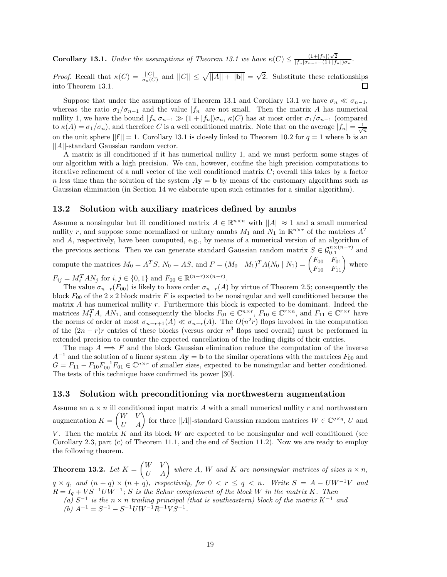**Corollary 13.1.** *Under the assumptions of Theorem 13.1 we have*  $\kappa(C) \leq \frac{(1+|f_n|)\sqrt{2}}{|f_n|\sigma_{n-1}-(1+|f_n|)\sigma_n}$ .

*Proof.* Recall that  $\kappa(C) = \frac{||C||}{\sigma_n(C)}$  and  $||C|| \le \sqrt{||A|| + ||\mathbf{b}||} = \sqrt{2}$ . Substitute these relationships into Theorem 13.1 into Theorem 13.1.

Suppose that under the assumptions of Theorem 13.1 and Corollary 13.1 we have  $\sigma_n \ll \sigma_{n-1}$ , whereas the ratio  $\sigma_1/\sigma_{n-1}$  and the value  $|f_n|$  are not small. Then the matrix *A* has numerical nullity 1, we have the bound  $|f_n|\sigma_{n-1} \gg (1 + |f_n|)\sigma_n$ ,  $\kappa(C)$  has at most order  $\sigma_1/\sigma_{n-1}$  (compared to  $\kappa(A) = \sigma_1/\sigma_n$ , and therefore *C* is a well conditioned matrix. Note that on the average  $|f_n| = \frac{1}{\sqrt{n}}$ on the unit sphere  $||\mathbf{f}|| = 1$ . Corollary 13.1 is closely linked to Theorem 10.2 for  $q = 1$  where **b** is an ||*A*||-standard Gaussian random vector.

A matrix is ill conditioned if it has numerical nullity 1, and we must perform some stages of our algorithm with a high precision. We can, however, confine the high precision computations to iterative refinement of a null vector of the well conditioned matrix *C*; overall this takes by a factor *n* less time than the solution of the system  $A$ **y** = **b** by means of the customary algorithms such as Gaussian elimination (in Section 14 we elaborate upon such estimates for a similar algorithm).

### **13.2 Solution with auxiliary matrices defined by anmbs**

Assume a nonsingular but ill conditioned matrix  $A \in \mathbb{R}^{n \times n}$  with  $||A|| \approx 1$  and a small numerical nullity *r*, and suppose some normalized or unitary anmbs  $M_1$  and  $N_1$  in  $\mathbb{R}^{n \times r}$  of the matrices  $A^T$ and *A*, respectively, have been computed, e.g., by means of a numerical version of an algorithm of the previous sections. Then we can generate standard Gaussian random matrix  $S \in \mathcal{G}_{0,1}^{n \times (n-r)}$  and  $\overline{S} \in \mathcal{G}_{0,1}^{n \times (n-r)}$ compute the matrices  $M_0 = A^T S$ ,  $N_0 = AS$ , and  $F = (M_0 \mid M_1)^T A (N_0 \mid N_1) = \begin{pmatrix} F_{00} & F_{01} \\ F_{10} & F_{11} \end{pmatrix}$  where

 $F_{ij} = M_i^T A N_j$  for  $i, j \in \{0, 1\}$  and  $F_{00} \in \mathbb{R}^{(n-r)\times(n-r)}$ .<br>The value  $\sigma$  (*F*<sub>co</sub>) is likely to have order  $\sigma$  (*A*)

The value  $\sigma_{n-r}(F_{00})$  is likely to have order  $\sigma_{n-r}(A)$  by virtue of Theorem 2.5; consequently the block  $F_{00}$  of the  $2\times 2$  block matrix *F* is expected to be nonsingular and well conditioned because the matrix *A* has numerical nullity *r*. Furthermore this block is expected to be dominant. Indeed the matrices  $M_1^T A$ ,  $AN_1$ , and consequently the blocks  $F_{01} \in \mathbb{C}^{n \times r}$ ,  $F_{10} \in \mathbb{C}^{r \times n}$ , and  $F_{11} \in \mathbb{C}^{r \times r}$  have the norms of order at most  $\sigma_{n-r+1}(A) \ll \sigma_{n-r}(A)$ . The  $O(n^2r)$  flops involved in the computation of the  $(2n - r)r$  entries of these blocks (versus order  $n^3$  flops used overall) must be performed in extended precision to counter the expected cancellation of the leading digits of their entries.

The map  $A \implies F$  and the block Gaussian elimination reduce the computation of the inverse  $A^{-1}$  and the solution of a linear system  $A$ **y** = **b** to the similar operations with the matrices  $F_{00}$  and  $G = F_{11} - F_{10} F_{00}^{-1} F_{01} \in \mathbb{C}^{n \times r}$  of smaller sizes, expected to be nonsingular and better conditioned. The tests of this technique have confirmed its power [30].

#### **13.3 Solution with preconditioning via northwestern augmentation**

Assume an  $n \times n$  ill conditioned input matrix A with a small numerical nullity r and northwestern augmentation *K* =  $\begin{pmatrix} W & V \\ U & A \end{pmatrix}$  for three ||*A*||-standard Gaussian random matrices  $W \in \mathbb{C}^{q \times q}$ , *U* and *V* . Then the matrix *K* and its block *W* are expected to be nonsingular and well conditioned (see Corollary 2.3, part (c) of Theorem 11.1, and the end of Section 11.2). Now we are ready to employ the following theorem.

**Theorem 13.2.** *Let*  $K =$  $\begin{pmatrix} W & V \\ U & A \end{pmatrix}$  where *A*, *W* and *K* are nonsingular matrices of sizes  $n \times n$ ,  $q \times q$ *, and*  $(n + q) \times (n + q)$ *, respectively, for*  $0 < r \le q < n$ *. Write*  $S = A - UW^{-1}V$  *and*  $R = I_q + VS^{-1}UW^{-1}$ ; *S* is the Schur complement of the block *W* in the matrix *K*. Then  $(a)$  *S*<sup>−1</sup> *is the*  $n \times n$  *trailing principal (that is southeastern) block of the matrix*  $K^{-1}$  *and*  $(b)$   $A^{-1} = S^{-1} - S^{-1}UW^{-1}R^{-1}VS^{-1}$ .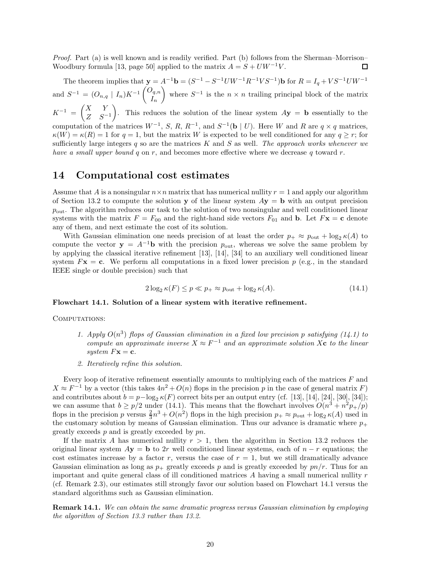*Proof.* Part (a) is well known and is readily verified. Part (b) follows from the Sherman–Morrison– Woodbury formula [13, page 50] applied to the matrix  $A = S + UW^{-1}V$ . ◻

The theorem implies that  $\mathbf{y} = A^{-1}\mathbf{b} = (S^{-1} - S^{-1}UW^{-1}R^{-1}VS^{-1})\mathbf{b}$  for  $R = I_q + VS^{-1}UW^{-1}$ and  $S^{-1} = (O_{n,q} | I_n)K^{-1} \begin{pmatrix} O_{q,n} \\ I_n \end{pmatrix}$ *In* where  $S^{-1}$  is the  $n \times n$  trailing principal block of the matrix  $K^{-1} = \begin{pmatrix} X & Y \\ Z & 0 \end{pmatrix}$ *Z S*−<sup>1</sup> ). This reduces the solution of the linear system  $A$ **y** = **b** essentially to the computation of the matrices  $W^{-1}$ , *S*, *R*,  $R^{-1}$ , and  $S^{-1}(\mathbf{b} \mid U)$ . Here *W* and *R* are  $q \times q$  matrices,  $\kappa(W) = \kappa(R) = 1$  for  $q = 1$ , but the matrix *W* is expected to be well conditioned for any  $q \ge r$ ; for sufficiently large integers *q* so are the matrices *K* and *S* as well. *The approach works whenever we have a small upper bound q* on *r*, and becomes more effective where we decrease *q* toward *r*.

### **14 Computational cost estimates**

Assume that *A* is a nonsingular  $n \times n$  matrix that has numerical nullity  $r = 1$  and apply our algorithm of Section 13.2 to compute the solution **y** of the linear system  $Ay = b$  with an output precision *p*out. The algorithm reduces our task to the solution of two nonsingular and well conditioned linear systems with the matrix  $F = F_{00}$  and the right-hand side vectors  $F_{01}$  and **b**. Let  $F\mathbf{x} = \mathbf{c}$  denote any of them, and next estimate the cost of its solution.

With Gaussian elimination one needs precision of at least the order  $p_+ \approx p_{\text{out}} + \log_2 \kappa(A)$  to compute the vector  $y = A^{-1}b$  with the precision  $p_{\text{out}}$ , whereas we solve the same problem by by applying the classical iterative refinement [13], [14], [34] to an auxiliary well conditioned linear system  $F$ **x** = **c**. We perform all computations in a fixed lower precision  $p$  (e.g., in the standard IEEE single or double precision) such that

$$
2\log_2 \kappa(F) \le p \ll p_+ \approx p_{\text{out}} + \log_2 \kappa(A). \tag{14.1}
$$

#### **Flowchart 14.1. Solution of a linear system with iterative refinement.**

COMPUTATIONS:

- 1. Apply  $O(n^3)$  flops of Gaussian elimination in a fixed low precision p satisfying  $(14.1)$  to *compute an approximate inverse*  $X \approx F^{-1}$  *and an approximate solution*  $X$ **c** *to the linear system*  $F$ **x** = **c***.*
- *2. Iteratively refine this solution.*

Every loop of iterative refinement essentially amounts to multiplying each of the matrices *F* and  $X \approx F^{-1}$  by a vector (this takes  $4n^2 + O(n)$  flops in the precision *p* in the case of general matrix *F*) and contributes about  $b = p - \log_2 \kappa(F)$  correct bits per an output entry (cf. [13], [14], [24], [30], [34]); we can assume that  $b \ge p/2$  under (14.1). This means that the flowchart involves  $O(n^3 + n^2p_+/p)$ flops in the precision *p* versus  $\frac{2}{3}n^3 + O(n^2)$  flops in the high precision  $p_+ \approx p_{\text{out}} + \log_2 \kappa(A)$  used in the customary solution by means of Gaussian elimination. Thus our advance is dramatic where  $p_+$ greatly exceeds *p* and is greatly exceeded by *pn*.

If the matrix *A* has numerical nullity  $r > 1$ , then the algorithm in Section 13.2 reduces the original linear system  $Ay = b$  to 2*r* well conditioned linear systems, each of  $n - r$  equations; the cost estimates increase by a factor  $r$ , versus the case of  $r = 1$ , but we still dramatically advance Gaussian elimination as long as  $p_{+}$  greatly exceeds p and is greatly exceeded by  $pn/r$ . Thus for an important and quite general class of ill conditioned matrices *A* having a small numerical nullity *r* (cf. Remark 2.3), our estimates still strongly favor our solution based on Flowchart 14.1 versus the standard algorithms such as Gaussian elimination.

**Remark 14.1.** *We can obtain the same dramatic progress versus Gaussian elimination by employing the algorithm of Section 13.3 rather than 13.2.*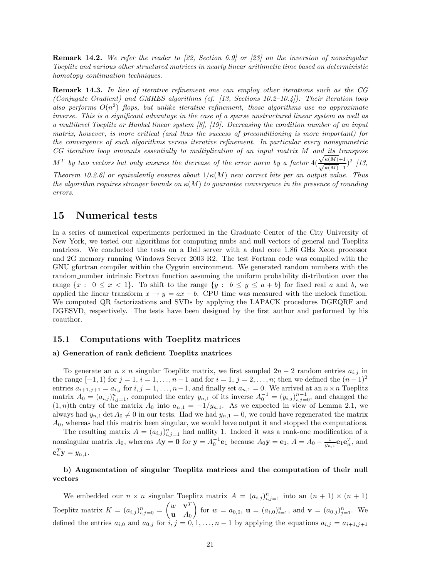**Remark 14.2.** *We refer the reader to [22, Section 6.9] or [23] on the inversion of nonsingular Toeplitz and various other structured matrices in nearly linear arithmetic time based on deterministic homotopy continuation techniques.*

**Remark 14.3.** *In lieu of iterative refinement one can employ other iterations such as the CG (Conjugate Gradient) and GMRES algorithms (cf. [13, Sections 10.2–10.4]). Their iteration loop also performs*  $O(n^2)$  *flops, but unlike iterative refinement, those algorithms use no approximate inverse. This is a significant advantage in the case of a sparse unstructured linear system as well as a multilevel Toeplitz or Hankel linear system [8], [19]. Decreasing the condition number of an input matrix, however, is more critical (and thus the success of preconditioning is more important) for the convergence of such algorithms versus iterative refinement. In particular every nonsymmetric CG iteration loop amounts essentially to multiplication of an input matrix M and its transpose* √ $M^T$  *by two vectors but only ensures the decrease of the error norm by a factor*  $4(\frac{\sqrt{\kappa(M)}+1}{\sqrt{\kappa(M)}-1})$ *κ*(*M*)−<sup>1</sup> )<sup>2</sup> *[13, Theorem 10.2.6] or equivalently ensures about*  $1/\kappa(M)$  *new correct bits per an output value. Thus* 

*the algorithm requires stronger bounds on κ*(*M*) *to guarantee convergence in the presence of rounding errors.*

### **15 Numerical tests**

In a series of numerical experiments performed in the Graduate Center of the City University of New York, we tested our algorithms for computing nmbs and null vectors of general and Toeplitz matrices. We conducted the tests on a Dell server with a dual core 1.86 GHz Xeon processor and 2G memory running Windows Server 2003 R2. The test Fortran code was compiled with the GNU gfortran compiler within the Cygwin environment. We generated random numbers with the random number intrinsic Fortran function assuming the uniform probability distribution over the range  $\{x : 0 \le x < 1\}$ . To shift to the range  $\{y : b \le y \le a + b\}$  for fixed real *a* and *b*, we applied the linear transform  $x \to y = ax + b$ . CPU time was measured with the mclock function. We computed QR factorizations and SVDs by applying the LAPACK procedures DGEQRF and DGESVD, respectively. The tests have been designed by the first author and performed by his coauthor.

### **15.1 Computations with Toeplitz matrices**

### **a) Generation of rank deficient Toeplitz matrices**

To generate an  $n \times n$  singular Toeplitz matrix, we first sampled  $2n - 2$  random entries  $a_{i,j}$  in the range  $[-1, 1)$  for  $j = 1, i = 1, \ldots, n - 1$  and for  $i = 1, j = 2, \ldots, n$ ; then we defined the  $(n - 1)^2$ entries  $a_{i+1,j+1} = a_{i,j}$  for  $i, j = 1, \ldots, n-1$ , and finally set  $a_{n,1} = 0$ . We arrived at an  $n \times n$  Toeplitz matrix  $A_0 = (a_{i,j})_{i,j=1}^n$ , computed the entry  $y_{n,1}$  of its inverse  $A_0^{-1} = (y_{i,j})_{i,j=0}^{n-1}$ , and changed the  $(1, p)$ <sup>th</sup> entry of the matrix  $A_0$  into  $a_{i,j} = -1/u_{i,j}$ . As we expected in view of Lemma 2.1, we  $(1, n)$ th entry of the matrix  $A_0$  into  $a_{n,1} = -1/y_{n,1}$ . As we expected in view of Lemma 2.1, we always had  $y_{n,1}$  det  $A_0 \neq 0$  in our tests. Had we had  $y_{n,1} = 0$ , we could have regenerated the matrix *A*0, whereas had this matrix been singular, we would have output it and stopped the computations.

The resulting matrix  $A = (a_{i,j})_{i,j=1}^n$  had nullity 1. Indeed it was a rank-one modification of a<br>*in m*-language in the second of a rank-one modification of a nonsingular matrix  $A_0$ , whereas  $A$ **y** = **0** for **y** =  $A_0^{-1}$ **e**<sub>1</sub> because  $A_0$ **y** = **e**<sub>1</sub>,  $A = A_0 - \frac{1}{y_{n,1}}$ **e**<sub>1</sub>**e**<sub>n</sub><sup>T</sup>, and  $e_n^T y = y_{n,1}.$ 

### **b) Augmentation of singular Toeplitz matrices and the computation of their null vectors**

We embedded our  $n \times n$  singular Toeplitz matrix  $A = (a_{i,j})_{i,j=1}^n$  into an  $(n + 1) \times (n + 1)$ Toeplitz matrix  $K = (a_{i,j})_{i,j=0}^n$  $\int w \cdot \mathbf{v}^T$ **u** *A*<sup>0</sup> for  $w = a_{0,0}$ ,  $\mathbf{u} = (a_{i,0})_{i=1}^n$ , and  $\mathbf{v} = (a_{0,j})_{j=1}^n$ . We defined the entries  $a_{i,0}$  and  $a_{0,j}$  for  $\hat{i}, j = 0, 1, \ldots, n-1$  by applying the equations  $a_{i,j} = a_{i+1,j+1}$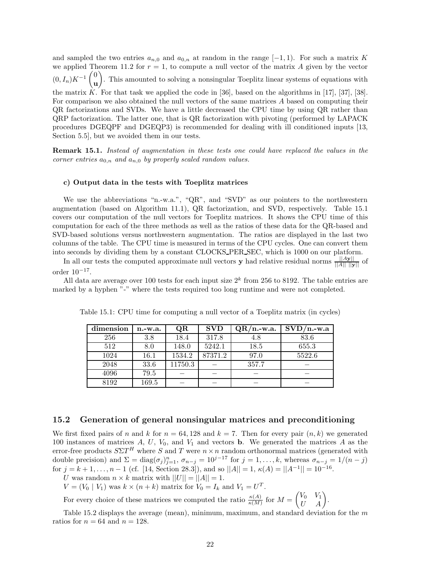and sampled the two entries  $a_{n,0}$  and  $a_{0,n}$  at random in the range  $[-1,1)$ . For such a matrix *K* we applied Theorem 11.2 for  $r = 1$ , to compute a null vector of the matrix A given by the vector  $(0, I_n)K^{-1}$   $\begin{pmatrix} 0 \\ 0 \end{pmatrix}$ **u** - . This amounted to solving a nonsingular Toeplitz linear systems of equations with the matrix  $\hat{K}$ . For that task we applied the code in [36], based on the algorithms in [17], [37], [38]. For comparison we also obtained the null vectors of the same matrices *A* based on computing their QR factorizations and SVDs. We have a little decreased the CPU time by using QR rather than QRP factorization. The latter one, that is QR factorization with pivoting (performed by LAPACK procedures DGEQPF and DGEQP3) is recommended for dealing with ill conditioned inputs [13, Section 5.5], but we avoided them in our tests.

**Remark 15.1.** *Instead of augmentation in these tests one could have replaced the values in the corner entries*  $a_{0,n}$  *and*  $a_{n,0}$  *by properly scaled random values.* 

#### **c) Output data in the tests with Toeplitz matrices**

We use the abbreviations "n.-w.a.", "QR", and "SVD" as our pointers to the northwestern augmentation (based on Algorithm 11.1), QR factorization, and SVD, respectively. Table 15.1 covers our computation of the null vectors for Toeplitz matrices. It shows the CPU time of this computation for each of the three methods as well as the ratios of these data for the QR-based and SVD-based solutions versus northwestern augmentation. The ratios are displayed in the last two columns of the table. The CPU time is measured in terms of the CPU cycles. One can convert them into seconds by dividing them by a constant CLOCKS PER SEC, which is 1000 on our platform.

In all our tests the computed approximate null vectors **y** had relative residual norms  $\frac{||A||}{||A|| \cdot ||y||}$  of order  $10^{-17}$ .

All data are average over 100 tests for each input size  $2<sup>k</sup>$  from 256 to 8192. The table entries are marked by a hyphen "-" where the tests required too long runtime and were not completed.

| dimension | $n.-w.a.$ | QR      | <b>SVD</b> | $QR/n$ -w.a. | $SVD/n.-w.a$ |
|-----------|-----------|---------|------------|--------------|--------------|
| 256       | 3.8       | 18.4    | 317.8      | 4.8          | 83.6         |
| 512       | 8.0       | 148.0   | 5242.1     | 18.5         | 655.3        |
| 1024      | 16.1      | 1534.2  | 87371.2    | 97.0         | 5522.6       |
| 2048      | 33.6      | 11750.3 |            | 357.7        |              |
| 4096      | 79.5      |         |            |              |              |
| 8192      | 169.5     |         |            |              |              |

Table 15.1: CPU time for computing a null vector of a Toeplitz matrix (in cycles)

### **15.2 Generation of general nonsingular matrices and preconditioning**

We first fixed pairs of *n* and *k* for  $n = 64, 128$  and  $k = 7$ . Then for every pair  $(n, k)$  we generated 100 instances of matrices *A*, *U*, *V*0, and *V*<sup>1</sup> and vectors **b**. We generated the matrices *A* as the error-free products  $S\Sigma T$ <sup>*H*</sup> where *S* and *T* were  $n \times n$  random orthonormal matrices (generated with double precision) and  $\Sigma = \text{diag}(\sigma_j)_{j=1}^n$ ,  $\sigma_{n-j} = 10^{j-17}$  for  $j = 1, ..., k$ , whereas  $\sigma_{n-j} = 1/(n-j)$  for  $j = k+1, ..., n-1$  (cf. [14, Section 28.3]), and so  $||A|| = 1$ ,  $\kappa(A) = ||A^{-1}|| = 10^{-16}$ .

*U* was random  $n \times k$  matrix with  $||U|| = ||A|| = 1$ .

 $V = (V_0 | V_1)$  was  $k \times (n + k)$  matrix for  $V_0 = I_k$  and  $V_1 = U^T$ .

For every choice of these matrices we computed the ratio  $\frac{\kappa(A)}{\kappa(M)}$  for  $M =$  $\begin{pmatrix} V_0 & V_1 \\ U & A \end{pmatrix}$ .

Table 15.2 displays the average (mean), minimum, maximum, and standard deviation for the *m* ratios for  $n = 64$  and  $n = 128$ .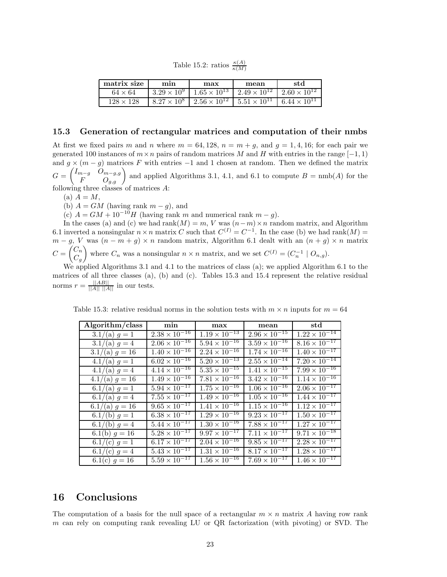Table 15.2: ratios  $\frac{\kappa(A)}{\kappa(M)}$ 

| matrix size    | min | max                                                                                    | mean | -std |
|----------------|-----|----------------------------------------------------------------------------------------|------|------|
| $64 \times 64$ |     | $1.3.29 \times 10^9$ $1.65 \times 10^{13}$ $2.49 \times 10^{12}$ $2.60 \times 10^{12}$ |      |      |
|                |     |                                                                                        |      |      |

### **15.3 Generation of rectangular matrices and computation of their nmbs**

At first we fixed pairs *m* and *n* where  $m = 64, 128, n = m + g$ , and  $g = 1, 4, 16$ ; for each pair we generated 100 instances of  $m \times n$  pairs of random matrices *M* and *H* with entries in the range  $[-1, 1]$ and  $g \times (m - g)$  matrices *F* with entries -1 and 1 chosen at random. Then we defined the matrix  $G =$  $\begin{pmatrix} I_{m-g} & O_{m-g,g} \\ F & O_{g,g} \end{pmatrix}$  and applied Algorithms 3.1, 4.1, and 6.1 to compute *B* = nmb(*A*) for the following three classes of matrices *A*:

 $(a)$   $A = M$ ,

(b)  $A = GM$  (having rank  $m - g$ ), and

(c)  $A = GM + 10^{-10}H$  (having rank *m* and numerical rank  $m - g$ ).

In the cases (a) and (c) we had rank $(M) = m$ , *V* was  $(n-m) \times n$  random matrix, and Algorithm 6.1 inverted a nonsingular  $n \times n$  matrix *C* such that  $C^{(I)} = C^{-1}$ . In the case (b) we had rank $(M)$  =  $m - g$ , *V* was  $(n - m + g) \times n$  random matrix, Algorithm 6.1 dealt with an  $(n + g) \times n$  matrix  $C =$  $\left(\begin{matrix} C_n \\ C_n \end{matrix}\right)$  $C_g$ where  $C_n$  was a nonsingular  $n \times n$  matrix, and we set  $C^{(I)} = (C_n^{-1} \mid O_{n,g}).$ 

We applied Algorithms 3.1 and 4.1 to the matrices of class (a); we applied Algorithm 6.1 to the matrices of all three classes (a), (b) and (c). Tables 15.3 and 15.4 represent the relative residual norms  $r = \frac{||AB||}{||A|| ||A||}$  in our tests.

| Algorithm/class  | min                               | max                    | mean                   | $^{\rm std}$           |
|------------------|-----------------------------------|------------------------|------------------------|------------------------|
| $3.1/(a) g = 1$  | $2.38 \times 10^{-16}$            | $1.19 \times 10^{-13}$ | $2.96 \times 10^{-15}$ | $1.22 \times 10^{-14}$ |
| $3.1/(a) g = 4$  | $2.06 \times 10^{-16}$            | $5.94 \times 10^{-16}$ | $3.59 \times 10^{-16}$ | $8.16 \times 10^{-17}$ |
| $3.1/(a) g = 16$ | $1.40 \times 10^{-16}$            | $2.24 \times 10^{-16}$ | $1.74 \times 10^{-16}$ | $1.40 \times 10^{-17}$ |
| $4.1/(a) g = 1$  | $6.02 \times 10^{-16}$            | $5.20 \times 10^{-13}$ | $2.55 \times 10^{-14}$ | $7.20 \times 10^{-14}$ |
| $4.1/(a) g = 4$  | $4.14 \times 10^{-16}$            | $5.35 \times 10^{-15}$ | $1.41 \times 10^{-15}$ | $7.99 \times 10^{-16}$ |
| $4.1/(a) g = 16$ | $1.49 \times 10^{-16}$            | $7.81 \times 10^{-16}$ | $3.42 \times 10^{-16}$ | $1.14 \times 10^{-16}$ |
| $6.1/(a) g = 1$  | $5.94 \times 10^{-17}$            | $1.75 \times 10^{-16}$ | $1.06 \times 10^{-16}$ | $2.06 \times 10^{-17}$ |
| $6.1/(a) g = 4$  | $7.55 \times 10^{-17}$            | $1.49 \times 10^{-16}$ | $1.05 \times 10^{-16}$ | $1.44 \times 10^{-17}$ |
| $6.1/(a) g = 16$ | $9.65 \times 10^{-17}$            | $1.41 \times 10^{-16}$ | $1.15 \times 10^{-16}$ | $1.12 \times 10^{-17}$ |
| $6.1/(b) g = 1$  | $6.38 \times 10^{-17}$            | $1.29 \times 10^{-16}$ | $9.23 \times 10^{-17}$ | $1.50 \times 10^{-17}$ |
| 6.1/(b) $q = 4$  | $5.\overline{44 \times 10^{-17}}$ | $1.30 \times 10^{-16}$ | $7.88 \times 10^{-17}$ | $1.27 \times 10^{-17}$ |
| 6.1(b) $g = 16$  | $5.28 \times 10^{-17}$            | $9.97 \times 10^{-17}$ | $7.11 \times 10^{-17}$ | $9.71 \times 10^{-18}$ |
| 6.1/(c) $g = 1$  | $6.17 \times 10^{-17}$            | $2.04 \times 10^{-16}$ | $9.85 \times 10^{-17}$ | $2.28 \times 10^{-17}$ |
| 6.1/(c) $g = 4$  | $5.\overline{43 \times 10^{-17}}$ | $1.31 \times 10^{-16}$ | $8.17 \times 10^{-17}$ | $1.28 \times 10^{-17}$ |
| 6.1(c) $g = 16$  | $5.59 \times 10^{-17}$            | $1.56 \times 10^{-16}$ | $7.69 \times 10^{-17}$ | $1.46 \times 10^{-17}$ |

Table 15.3: relative residual norms in the solution tests with  $m \times n$  inputs for  $m = 64$ 

### **16 Conclusions**

The computation of a basis for the null space of a rectangular  $m \times n$  matrix A having row rank *m* can rely on computing rank revealing LU or QR factorization (with pivoting) or SVD. The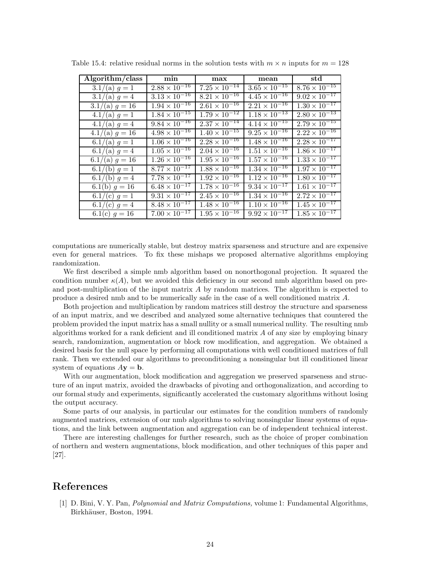| Algorithm/class  | min                    | max                    | mean                                                | $_{\rm std}$           |
|------------------|------------------------|------------------------|-----------------------------------------------------|------------------------|
| $3.1/(a) g = 1$  | $2.88 \times 10^{-16}$ | $7.25 \times 10^{-14}$ | $3.65 \times 10^{-15}$                              | $8.76 \times 10^{-15}$ |
| $3.1/(a) g = 4$  | $3.13 \times 10^{-16}$ | $8.21 \times 10^{-16}$ | $4.45 \times 10^{-16}$                              | $9.02 \times 10^{-17}$ |
| $3.1/(a) g = 16$ | $1.94 \times 10^{-16}$ | $2.61 \times 10^{-16}$ | $2.21 \times 10^{-16}$                              | $1.30 \times 10^{-17}$ |
| $4.1/(a) g = 1$  | $1.84 \times 10^{-15}$ | $1.79 \times 10^{-12}$ | $1.18 \times 10^{-13}$                              | $2.80 \times 10^{-13}$ |
| $4.1/(a) g = 4$  | $9.84 \times 10^{-16}$ | $2.37 \times 10^{-14}$ | $4.14 \times 10^{-15}$                              | $2.79 \times 10^{-15}$ |
| $4.1/(a) g = 16$ | $4.98 \times 10^{-16}$ | $1.40 \times 10^{-15}$ | $9.25 \times 10^{-16}$                              | $2.22 \times 10^{-16}$ |
| $6.1/(a) g = 1$  | $1.06 \times 10^{-16}$ | $2.28 \times 10^{-16}$ | $\frac{1.48 \times 10^{-16}}{1.48 \times 10^{-16}}$ | $2.28 \times 10^{-17}$ |
| 6.1/(a) $g = 4$  | $1.05 \times 10^{-16}$ | $2.04 \times 10^{-16}$ | $1.51 \times 10^{-16}$                              | $1.86 \times 10^{-17}$ |
| $6.1/(a) g = 16$ | $1.26 \times 10^{-16}$ | $1.95 \times 10^{-16}$ | $1.57 \times 10^{-16}$                              | $1.33 \times 10^{-17}$ |
| 6.1/(b) $g = 1$  | $8.77 \times 10^{-17}$ | $1.88 \times 10^{-16}$ | $1.34 \times 10^{-16}$                              | $1.97 \times 10^{-17}$ |
| 6.1/(b) $g = 4$  | $7.78 \times 10^{-17}$ | $1.92 \times 10^{-16}$ | $1.12 \times 10^{-16}$                              | $1.80 \times 10^{-17}$ |
| 6.1(b) $g = 16$  | $6.48 \times 10^{-17}$ | $1.78 \times 10^{-16}$ | $9.34 \times 10^{-17}$                              | $1.61 \times 10^{-17}$ |
| 6.1/(c) $g = 1$  | $9.31 \times 10^{-17}$ | $2.45 \times 10^{-16}$ | $1.34 \times 10^{-16}$                              | $2.72 \times 10^{-17}$ |
| 6.1/(c) $g = 4$  | $8.48 \times 10^{-17}$ | $1.48 \times 10^{-16}$ | $1.10 \times 10^{-16}$                              | $1.45 \times 10^{-17}$ |
| 6.1(c) $g = 16$  | $7.00 \times 10^{-17}$ | $1.95 \times 10^{-16}$ | $9.92 \times 10^{-17}$                              | $1.85 \times 10^{-17}$ |

Table 15.4: relative residual norms in the solution tests with  $m \times n$  inputs for  $m = 128$ 

computations are numerically stable, but destroy matrix sparseness and structure and are expensive even for general matrices. To fix these mishaps we proposed alternative algorithms employing randomization.

We first described a simple nmb algorithm based on nonorthogonal projection. It squared the condition number  $\kappa(A)$ , but we avoided this deficiency in our second nmb algorithm based on preand post-multiplication of the input matrix *A* by random matrices. The algorithm is expected to produce a desired nmb and to be numerically safe in the case of a well conditioned matrix *A*.

Both projection and multiplication by random matrices still destroy the structure and sparseness of an input matrix, and we described and analyzed some alternative techniques that countered the problem provided the input matrix has a small nullity or a small numerical nullity. The resulting nmb algorithms worked for a rank deficient and ill conditioned matrix *A* of any size by employing binary search, randomization, augmentation or block row modification, and aggregation. We obtained a desired basis for the null space by performing all computations with well conditioned matrices of full rank. Then we extended our algorithms to preconditioning a nonsingular but ill conditioned linear system of equations  $A$ **y** = **b**.

With our augmentation, block modification and aggregation we preserved sparseness and structure of an input matrix, avoided the drawbacks of pivoting and orthogonalization, and according to our formal study and experiments, significantly accelerated the customary algorithms without losing the output accuracy.

Some parts of our analysis, in particular our estimates for the condition numbers of randomly augmented matrices, extension of our nmb algorithms to solving nonsingular linear systems of equations, and the link between augmentation and aggregation can be of independent technical interest.

There are interesting challenges for further research, such as the choice of proper combination of northern and western augmentations, block modification, and other techniques of this paper and [27].

### **References**

[1] D. Bini, V. Y. Pan, *Polynomial and Matrix Computations,* volume 1: Fundamental Algorithms, Birkhäuser, Boston, 1994.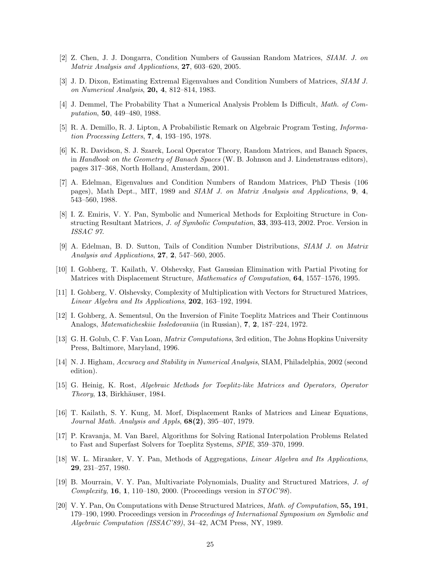- [2] Z. Chen, J. J. Dongarra, Condition Numbers of Gaussian Random Matrices, *SIAM. J. on Matrix Analysis and Applications*, **27**, 603–620, 2005.
- [3] J. D. Dixon, Estimating Extremal Eigenvalues and Condition Numbers of Matrices, *SIAM J. on Numerical Analysis*, **20, 4**, 812–814, 1983.
- [4] J. Demmel, The Probability That a Numerical Analysis Problem Is Difficult, *Math. of Computation*, **50**, 449–480, 1988.
- [5] R. A. Demillo, R. J. Lipton, A Probabilistic Remark on Algebraic Program Testing, *Information Processing Letters*, **7**, **4**, 193–195, 1978.
- [6] K. R. Davidson, S. J. Szarek, Local Operator Theory, Random Matrices, and Banach Spaces, in *Handbook on the Geometry of Banach Spaces* (W. B. Johnson and J. Lindenstrauss editors), pages 317–368, North Holland, Amsterdam, 2001.
- [7] A. Edelman, Eigenvalues and Condition Numbers of Random Matrices, PhD Thesis (106 pages), Math Dept., MIT, 1989 and *SIAM J. on Matrix Analysis and Applications*, **9**, **4**, 543–560, 1988.
- [8] I. Z. Emiris, V. Y. Pan, Symbolic and Numerical Methods for Exploiting Structure in Constructing Resultant Matrices, *J. of Symbolic Computation*, **33**, 393-413, 2002. Proc. Version in *ISSAC 97*.
- [9] A. Edelman, B. D. Sutton, Tails of Condition Number Distributions, *SIAM J. on Matrix Analysis and Applications*, **27**, **2**, 547–560, 2005.
- [10] I. Gohberg, T. Kailath, V. Olshevsky, Fast Gaussian Elimination with Partial Pivoting for Matrices with Displacement Structure, *Mathematics of Computation*, **64**, 1557–1576, 1995.
- [11] I. Gohberg, V. Olshevsky, Complexity of Multiplication with Vectors for Structured Matrices, *Linear Algebra and Its Applications*, **202**, 163–192, 1994.
- [12] I. Gohberg, A. Sementsul, On the Inversion of Finite Toeplitz Matrices and Their Continuous Analogs, *Matematicheskiie Issledovaniia* (in Russian), **7**, **2**, 187–224, 1972.
- [13] G. H. Golub, C. F. Van Loan, *Matrix Computations*, 3rd edition, The Johns Hopkins University Press, Baltimore, Maryland, 1996.
- [14] N. J. Higham, *Accuracy and Stability in Numerical Analysis*, SIAM, Philadelphia, 2002 (second edition).
- [15] G. Heinig, K. Rost, *Algebraic Methods for Toeplitz-like Matrices and Operators, Operator Theory*, **13**, Birkhäuser, 1984.
- [16] T. Kailath, S. Y. Kung, M. Morf, Displacement Ranks of Matrices and Linear Equations, *Journal Math. Analysis and Appls*, **68(2)**, 395–407, 1979.
- [17] P. Kravanja, M. Van Barel, Algorithms for Solving Rational Interpolation Problems Related to Fast and Superfast Solvers for Toeplitz Systems, *SPIE*, 359–370, 1999.
- [18] W. L. Miranker, V. Y. Pan, Methods of Aggregations, *Linear Algebra and Its Applications*, **29**, 231–257, 1980.
- [19] B. Mourrain, V. Y. Pan, Multivariate Polynomials, Duality and Structured Matrices, *J. of Complexity*, **16**, **1**, 110–180, 2000. (Proceedings version in *STOC'98*).
- [20] V. Y. Pan, On Computations with Dense Structured Matrices, *Math. of Computation*, **55, 191**, 179–190, 1990. Proceedings version in *Proceedings of International Symposium on Symbolic and Algebraic Computation (ISSAC'89)*, 34–42, ACM Press, NY, 1989.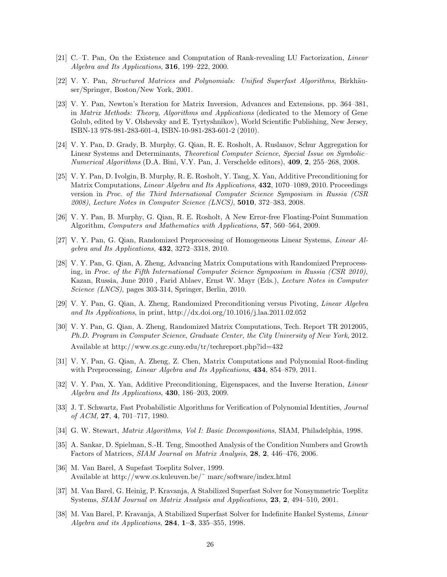- [21] C.–T. Pan, On the Existence and Computation of Rank-revealing LU Factorization, *Linear Algebra and Its Applications*, **316**, 199–222, 2000.
- [22] V. Y. Pan, *Structured Matrices and Polynomials: Unified Superfast Algorithms*, Birkhäuser/Springer, Boston/New York, 2001.
- [23] V. Y. Pan, Newton's Iteration for Matrix Inversion, Advances and Extensions, pp. 364–381, in *Matrix Methods: Theory, Algorithms and Applications* (dedicated to the Memory of Gene Golub, edited by V. Olshevsky and E. Tyrtyshnikov), World Scientific Publishing, New Jersey, ISBN-13 978-981-283-601-4, ISBN-10-981-283-601-2 (2010).
- [24] V. Y. Pan, D. Grady, B. Murphy, G. Qian, R. E. Rosholt, A. Ruslanov, Schur Aggregation for Linear Systems and Determinants, *Theoretical Computer Science*, *Special Issue on Symbolic– Numerical Algorithms* (D.A. Bini, V.Y. Pan, J. Verschelde editors), **409**, **2**, 255–268, 2008.
- [25] V. Y. Pan, D. Ivolgin, B. Murphy, R. E. Rosholt, Y. Tang, X. Yan, Additive Preconditioning for Matrix Computations, *Linear Algebra and Its Applications*, **432**, 1070–1089, 2010. Proceedings version in *Proc. of the Third International Computer Science Symposium in Russia (CSR 2008)*, *Lecture Notes in Computer Science (LNCS)*, **5010**, 372–383, 2008.
- [26] V. Y. Pan, B. Murphy, G. Qian, R. E. Rosholt, A New Error-free Floating-Point Summation Algorithm, *Computers and Mathematics with Applications*, **57**, 560–564, 2009.
- [27] V. Y. Pan, G. Qian, Randomized Preprocessing of Homogeneous Linear Systems, *Linear Algebra and Its Applications*, **432**, 3272–3318, 2010.
- [28] V. Y. Pan, G. Qian, A. Zheng, Advancing Matrix Computations with Randomized Preprocessing, in *Proc. of the Fifth International Computer Science Symposium in Russia (CSR 2010)*, Kazan, Russia, June 2010 , Farid Ablaev, Ernst W. Mayr (Eds.), *Lecture Notes in Computer Science (LNCS)*, pages 303-314, Springer, Berlin, 2010.
- [29] V. Y. Pan, G. Qian, A. Zheng, Randomized Preconditioning versus Pivoting, *Linear Algebra and Its Applications*, in print, http://dx.doi.org/10.1016/j.laa.2011.02.052
- [30] V. Y. Pan, G. Qian, A. Zheng, Randomized Matrix Computations, Tech. Report TR 2012005, *Ph.D. Program in Computer Science*, *Graduate Center, the City University of New York*, 2012. Available at http://www.cs.gc.cuny.edu/tr/techreport.php?id=432
- [31] V. Y. Pan, G. Qian, A. Zheng, Z. Chen, Matrix Computations and Polynomial Root-finding with Preprocessing, *Linear Algebra and Its Applications*, **434**, 854–879, 2011.
- [32] V. Y. Pan, X. Yan, Additive Preconditioning, Eigenspaces, and the Inverse Iteration, *Linear Algebra and Its Applications*, **430**, 186–203, 2009.
- [33] J. T. Schwartz, Fast Probabilistic Algorithms for Verification of Polynomial Identities, *Journal of ACM*, **27**, **4**, 701–717, 1980.
- [34] G. W. Stewart, *Matrix Algorithms, Vol I: Basic Decompositions*, SIAM, Philadelphia, 1998.
- [35] A. Sankar, D. Spielman, S.-H. Teng, Smoothed Analysis of the Condition Numbers and Growth Factors of Matrices, *SIAM Journal on Matrix Analysis*, **28**, **2**, 446–476, 2006.
- [36] M. Van Barel, A Supefast Toeplitz Solver, 1999. Available at http://www.cs.kuleuven.be/˜ marc/software/index.html
- [37] M. Van Barel, G. Heinig, P. Kravanja, A Stabilized Superfast Solver for Nonsymmetric Toeplitz Systems, *SIAM Journal on Matrix Analysis and Applications*, **23**, **2**, 494–510, 2001.
- [38] M. Van Barel, P. Kravanja, A Stabilized Superfast Solver for Indefinite Hankel Systems, *Linear Algebra and its Applications*, **284**, **1–3**, 335–355, 1998.